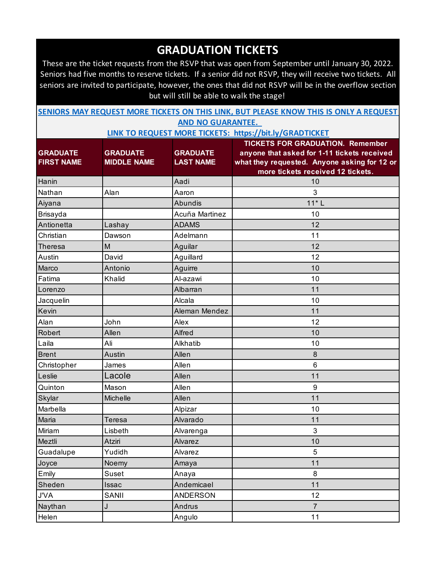These are the ticket requests from the RSVP that was open from September until January 30, 2022. Seniors had five months to reserve tickets. If a senior did not RSVP, they will receive two tickets. All seniors are invited to participate, however, the ones that did not RSVP will be in the overflow section but will still be able to walk the stage!

| SENIORS MAY REQUEST MORE TICKETS ON THIS LINK, BUT PLEASE KNOW THIS IS ONLY A REQUEST |                          |  |  |  |
|---------------------------------------------------------------------------------------|--------------------------|--|--|--|
|                                                                                       | <b>AND NO GUARANTEE.</b> |  |  |  |

|                   |                    |                  | <b>TICKETS FOR GRADUATION. Remember</b>      |
|-------------------|--------------------|------------------|----------------------------------------------|
| <b>GRADUATE</b>   | <b>GRADUATE</b>    | <b>GRADUATE</b>  | anyone that asked for 1-11 tickets received  |
| <b>FIRST NAME</b> | <b>MIDDLE NAME</b> | <b>LAST NAME</b> | what they requested. Anyone asking for 12 or |
|                   |                    |                  | more tickets received 12 tickets.            |
| Hanin             |                    | Aadi             | 10                                           |
| Nathan            | Alan               | Aaron            | 3                                            |
| Aiyana            |                    | Abundis          | $11*L$                                       |
| Brisayda          |                    | Acuña Martinez   | 10                                           |
| Antionetta        | Lashay             | <b>ADAMS</b>     | 12                                           |
| Christian         | Dawson             | Adelmann         | 11                                           |
| Theresa           | M                  | Aguilar          | 12                                           |
| Austin            | David              | Aguillard        | 12                                           |
| Marco             | Antonio            | Aguirre          | 10                                           |
| Fatima            | Khalid             | Al-azawi         | 10                                           |
| Lorenzo           |                    | Albarran         | 11                                           |
| Jacquelin         |                    | Alcala           | 10                                           |
| Kevin             |                    | Aleman Mendez    | 11                                           |
| Alan              | John               | Alex             | 12                                           |
| Robert            | Allen              | Alfred           | 10                                           |
| Laila             | Ali                | Alkhatib         | 10                                           |
| <b>Brent</b>      | Austin             | Allen            | 8                                            |
| Christopher       | James              | Allen            | 6                                            |
| Leslie            | Lacole             | Allen            | 11                                           |
| Quinton           | Mason              | Allen            | $9\,$                                        |
| Skylar            | Michelle           | Allen            | 11                                           |
| Marbella          |                    | Alpizar          | 10                                           |
| Maria             | Teresa             | Alvarado         | 11                                           |
| Miriam            | Lisbeth            | Alvarenga        | 3                                            |
| Meztli            | Atziri             | Alvarez          | 10                                           |
| Guadalupe         | Yudidh             | Alvarez          | 5                                            |
| Joyce             | Noemy              | Amaya            | 11                                           |
| Emily             | Suset              | Anaya            | 8                                            |
| Sheden            | Issac              | Andemicael       | 11                                           |
| <b>J'VA</b>       | SANII              | <b>ANDERSON</b>  | 12                                           |
| Naythan           | J                  | Andrus           | $\overline{7}$                               |
| Helen             |                    | Angulo           | 11                                           |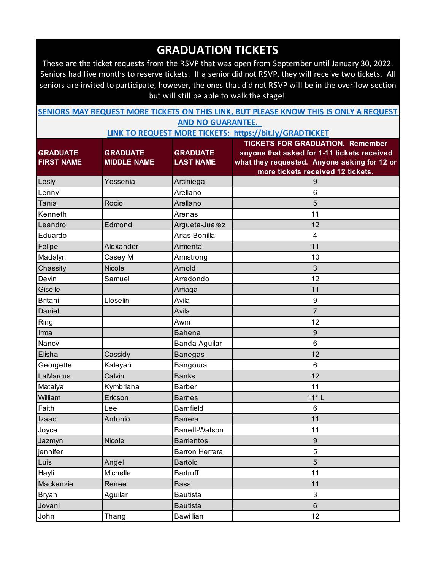These are the ticket requests from the RSVP that was open from September until January 30, 2022. Seniors had five months to reserve tickets. If a senior did not RSVP, they will receive two tickets. All seniors are invited to participate, however, the ones that did not RSVP will be in the overflow section but will still be able to walk the stage!

| SENIORS MAY REQUEST MORE TICKETS ON THIS LINK, BUT PLEASE KNOW THIS IS ONLY A REQUEST |  |                          |  |  |  |
|---------------------------------------------------------------------------------------|--|--------------------------|--|--|--|
|                                                                                       |  | <b>AND NO GUARANTEE.</b> |  |  |  |

|                                      |                                       |                                     | <b>TICKETS FOR GRADUATION. Remember</b>                                                     |
|--------------------------------------|---------------------------------------|-------------------------------------|---------------------------------------------------------------------------------------------|
| <b>GRADUATE</b><br><b>FIRST NAME</b> | <b>GRADUATE</b><br><b>MIDDLE NAME</b> | <b>GRADUATE</b><br><b>LAST NAME</b> | anyone that asked for 1-11 tickets received<br>what they requested. Anyone asking for 12 or |
|                                      |                                       |                                     | more tickets received 12 tickets.                                                           |
| Lesly                                | Yessenia                              | Arciniega                           | 9                                                                                           |
| Lenny                                |                                       | Arellano                            | 6                                                                                           |
| Tania                                | Rocio                                 | Arellano                            | 5                                                                                           |
| Kenneth                              |                                       | Arenas                              | 11                                                                                          |
| Leandro                              | Edmond                                | Argueta-Juarez                      | 12                                                                                          |
| Eduardo                              |                                       | Arias Bonilla                       | $\overline{\mathbf{4}}$                                                                     |
| Felipe                               | Alexander                             | Armenta                             | 11                                                                                          |
| Madalyn                              | Casey M                               | Armstrong                           | 10                                                                                          |
| Chassity                             | <b>Nicole</b>                         | Arnold                              | $\mathfrak{S}$                                                                              |
| Devin                                | Samuel                                | Arredondo                           | 12                                                                                          |
| Giselle                              |                                       | Arriaga                             | 11                                                                                          |
| <b>Britani</b>                       | Lloselin                              | Avila                               | $\boldsymbol{9}$                                                                            |
| Daniel                               |                                       | Avila                               | $\overline{7}$                                                                              |
| Ring                                 |                                       | Awm                                 | 12                                                                                          |
| Irma                                 |                                       | <b>Bahena</b>                       | $\boldsymbol{9}$                                                                            |
| Nancy                                |                                       | Banda Aguilar                       | 6                                                                                           |
| Elisha                               | Cassidy                               | <b>Banegas</b>                      | 12                                                                                          |
| Georgette                            | Kaleyah                               | Bangoura                            | 6                                                                                           |
| LaMarcus                             | Calvin                                | <b>Banks</b>                        | 12                                                                                          |
| Mataiya                              | Kymbriana                             | <b>Barber</b>                       | 11                                                                                          |
| William                              | Ericson                               | <b>Barnes</b>                       | $11*L$                                                                                      |
| Faith                                | Lee                                   | <b>Bamfield</b>                     | 6                                                                                           |
| Izaac                                | Antonio                               | <b>Barrera</b>                      | 11                                                                                          |
| Joyce                                |                                       | Barrett-Watson                      | 11                                                                                          |
| Jazmyn                               | Nicole                                | <b>Barrientos</b>                   | $\boldsymbol{9}$                                                                            |
| jennifer                             |                                       | Barron Herrera                      | 5                                                                                           |
| Luis                                 | Angel                                 | Bartolo                             | 5                                                                                           |
| Hayli                                | Michelle                              | <b>Bartruff</b>                     | 11                                                                                          |
| Mackenzie                            | Renee                                 | <b>Bass</b>                         | 11                                                                                          |
| Bryan                                | Aguilar                               | <b>Bautista</b>                     | $\mathfrak{S}$                                                                              |
| Jovani                               |                                       | <b>Bautista</b>                     | $6\phantom{.}$                                                                              |
| John                                 | Thang                                 | Bawi lian                           | 12                                                                                          |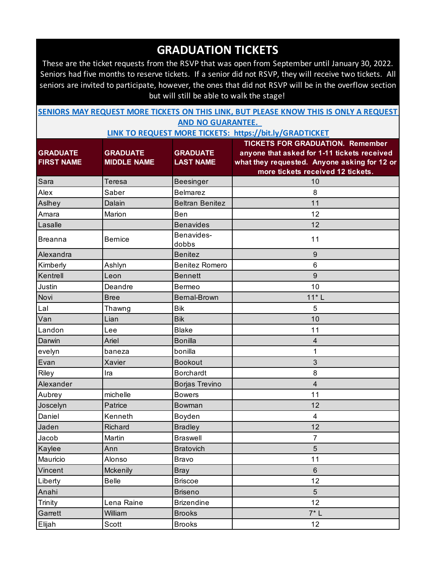These are the ticket requests from the RSVP that was open from September until January 30, 2022. Seniors had five months to reserve tickets. If a senior did not RSVP, they will receive two tickets. All seniors are invited to participate, however, the ones that did not RSVP will be in the overflow section but will still be able to walk the stage!

| SENIORS MAY REQUEST MORE TICKETS ON THIS LINK, BUT PLEASE KNOW THIS IS ONLY A REQUEST |                          |  |  |  |
|---------------------------------------------------------------------------------------|--------------------------|--|--|--|
|                                                                                       | <b>AND NO GUARANTEE.</b> |  |  |  |

|                   |                    |                        | <b>TICKETS FOR GRADUATION. Remember</b>      |
|-------------------|--------------------|------------------------|----------------------------------------------|
| <b>GRADUATE</b>   | <b>GRADUATE</b>    | <b>GRADUATE</b>        | anyone that asked for 1-11 tickets received  |
| <b>FIRST NAME</b> | <b>MIDDLE NAME</b> | <b>LAST NAME</b>       | what they requested. Anyone asking for 12 or |
|                   |                    |                        | more tickets received 12 tickets.            |
| Sara              | Teresa             | Beesinger              | 10                                           |
| Alex              | Saber              | <b>Belmarez</b>        | 8                                            |
| Aslhey            | Dalain             | <b>Beltran Benitez</b> | 11                                           |
| Amara             | Marion             | Ben                    | 12                                           |
| Lasalle           |                    | <b>Benavides</b>       | 12                                           |
| <b>Breanna</b>    | <b>Bernice</b>     | Benavides-<br>dobbs    | 11                                           |
| Alexandra         |                    | <b>Benitez</b>         | 9                                            |
| Kimberly          | Ashlyn             | <b>Benitez Romero</b>  | 6                                            |
| Kentrell          | Leon               | <b>Bennett</b>         | 9                                            |
| Justin            | Deandre            | Bermeo                 | 10                                           |
| Novi              | <b>Bree</b>        | Bernal-Brown           | $11*L$                                       |
| Lal               | Thawng             | <b>Bik</b>             | 5                                            |
| Van               | Lian               | <b>Bik</b>             | 10                                           |
| Landon            | Lee                | <b>Blake</b>           | 11                                           |
| Darwin            | Ariel              | <b>Bonilla</b>         | 4                                            |
| evelyn            | baneza             | bonilla                | 1                                            |
| Evan              | Xavier             | <b>Bookout</b>         | 3                                            |
| Riley             | Ira                | <b>Borchardt</b>       | 8                                            |
| Alexander         |                    | Borjas Trevino         | 4                                            |
| Aubrey            | michelle           | <b>Bowers</b>          | 11                                           |
| Joscelyn          | Patrice            | Bowman                 | 12                                           |
| Daniel            | Kenneth            | Boyden                 | 4                                            |
| Jaden             | Richard            | <b>Bradley</b>         | 12                                           |
| Jacob             | Martin             | <b>Braswell</b>        | 7                                            |
| Kaylee            | Ann                | <b>Bratovich</b>       | 5                                            |
| Mauricio          | Alonso             | <b>Bravo</b>           | 11                                           |
| Vincent           | Mckenily           | <b>Bray</b>            | $6\phantom{.}$                               |
| Liberty           | <b>Belle</b>       | <b>Briscoe</b>         | 12                                           |
| Anahi             |                    | <b>Briseno</b>         | $5\phantom{.}$                               |
| Trinity           | Lena Raine         | <b>Brizendine</b>      | 12                                           |
| Garrett           | William            | <b>Brooks</b>          | $7^*$ L                                      |
| Elijah            | Scott              | <b>Brooks</b>          | 12                                           |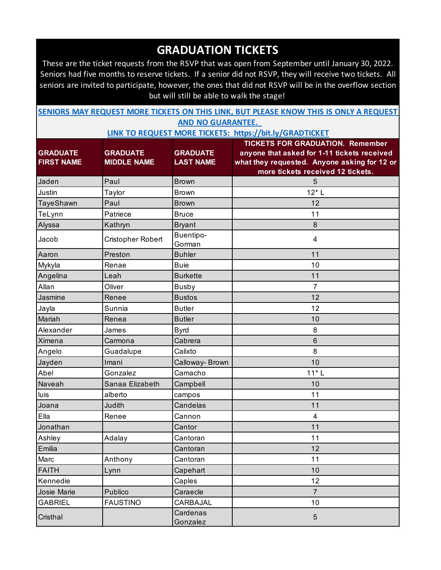These are the ticket requests from the RSVP that was open from September until January 30, 2022. Seniors had five months to reserve tickets. If a senior did not RSVP, they will receive two tickets. All seniors are invited to participate, however, the ones that did not RSVP will be in the overflow section but will still be able to walk the stage!

| SENIORS MAY REQUEST MORE TICKETS ON THIS LINK, BUT PLEASE KNOW THIS IS ONLY A REQUEST |  |                          |  |  |  |
|---------------------------------------------------------------------------------------|--|--------------------------|--|--|--|
|                                                                                       |  | <b>AND NO GUARANTEE.</b> |  |  |  |

|                   |                    |                      | <b>TICKETS FOR GRADUATION. Remember</b>      |
|-------------------|--------------------|----------------------|----------------------------------------------|
| <b>GRADUATE</b>   | <b>GRADUATE</b>    | <b>GRADUATE</b>      | anyone that asked for 1-11 tickets received  |
| <b>FIRST NAME</b> | <b>MIDDLE NAME</b> | <b>LAST NAME</b>     | what they requested. Anyone asking for 12 or |
|                   |                    |                      | more tickets received 12 tickets.            |
| Jaden             | Paul               | <b>Brown</b>         | 5                                            |
| Justin            | Taylor             | <b>Brown</b>         | $12*$ L                                      |
| TayeShawn         | Paul               | <b>Brown</b>         | 12                                           |
| TeLynn            | Patriece           | <b>Bruce</b>         | 11                                           |
| Alyssa            | Kathryn            | <b>Bryant</b>        | $\boldsymbol{8}$                             |
| Jacob             | Cristopher Robert  | Buentipo-<br>Gorman  | 4                                            |
| Aaron             | Preston            | <b>Buhler</b>        | 11                                           |
| Mykyla            | Renae              | <b>Buie</b>          | 10                                           |
| Angelina          | Leah               | <b>Burkette</b>      | 11                                           |
| Allan             | Oliver             | <b>Busby</b>         | $\overline{7}$                               |
| Jasmine           | Renee              | <b>Bustos</b>        | 12                                           |
| Jayla             | Sunnia             | <b>Butler</b>        | 12                                           |
| Mariah            | Renea              | <b>Butler</b>        | 10                                           |
| Alexander         | James              | <b>Byrd</b>          | 8                                            |
| Ximena            | Carmona            | Cabrera              | $6\phantom{1}$                               |
| Angelo            | Guadalupe          | Calixto              | 8                                            |
| Jayden            | Imani              | Calloway- Brown      | 10                                           |
| Abel              | Gonzalez           | Camacho              | $11*L$                                       |
| Naveah            | Sanaa Elizabeth    | Campbell             | 10                                           |
| luis              | alberto            | campos               | 11                                           |
| Joana             | Judith             | Candelas             | 11                                           |
| Ella              | Renee              | Cannon               | $\overline{4}$                               |
| Jonathan          |                    | Cantor               | 11                                           |
| Ashley            | Adalay             | Cantoran             | 11                                           |
| Emilia            |                    | Cantoran             | 12                                           |
| Marc              | Anthony            | Cantoran             | 11                                           |
| <b>FAITH</b>      | Lynn               | Capehart             | 10                                           |
| Kennedie          |                    | Caples               | 12                                           |
| Josie Marie       | Publico            | Caraecle             | $\overline{7}$                               |
| <b>GABRIEL</b>    | <b>FAUSTINO</b>    | CARBAJAL             | 10                                           |
| Cristhal          |                    | Cardenas<br>Gonzalez | $\overline{5}$                               |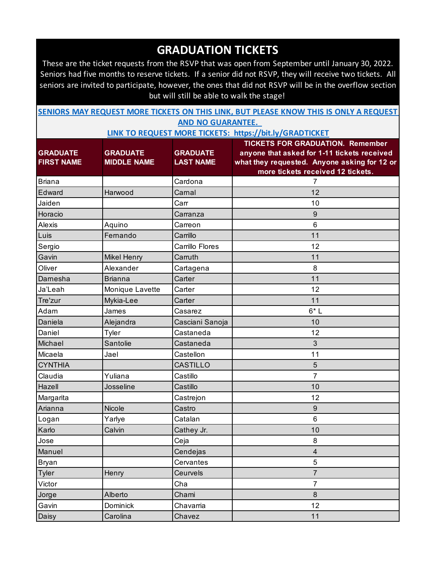These are the ticket requests from the RSVP that was open from September until January 30, 2022. Seniors had five months to reserve tickets. If a senior did not RSVP, they will receive two tickets. All seniors are invited to participate, however, the ones that did not RSVP will be in the overflow section but will still be able to walk the stage!

| SENIORS MAY REQUEST MORE TICKETS ON THIS LINK, BUT PLEASE KNOW THIS IS ONLY A REQUEST |                          |  |  |  |
|---------------------------------------------------------------------------------------|--------------------------|--|--|--|
|                                                                                       | <b>AND NO GUARANTEE.</b> |  |  |  |

|                   |                    |                  | <b>TICKETS FOR GRADUATION. Remember</b>      |
|-------------------|--------------------|------------------|----------------------------------------------|
| <b>GRADUATE</b>   | <b>GRADUATE</b>    | <b>GRADUATE</b>  | anyone that asked for 1-11 tickets received  |
| <b>FIRST NAME</b> | <b>MIDDLE NAME</b> | <b>LAST NAME</b> | what they requested. Anyone asking for 12 or |
|                   |                    |                  | more tickets received 12 tickets.            |
| <b>Briana</b>     |                    | Cardona          | 7                                            |
| Edward            | Harwood            | Carnal           | 12                                           |
| Jaiden            |                    | Carr             | 10                                           |
| Horacio           |                    | Carranza         | 9                                            |
| Alexis            | Aquino             | Carreon          | $6\phantom{1}$                               |
| Luis              | Fernando           | Carrillo         | 11                                           |
| Sergio            |                    | Carrillo Flores  | 12                                           |
| Gavin             | <b>Mikel Henry</b> | Carruth          | 11                                           |
| Oliver            | Alexander          | Cartagena        | 8                                            |
| Damesha           | <b>Brianna</b>     | Carter           | 11                                           |
| Ja'Leah           | Monique Lavette    | Carter           | 12                                           |
| Tre'zur           | Mykia-Lee          | Carter           | 11                                           |
| Adam              | James              | Casarez          | $6*L$                                        |
| Daniela           | Alejandra          | Casciani Sanoja  | 10                                           |
| Daniel            | Tyler              | Castaneda        | 12                                           |
| Michael           | Santolie           | Castaneda        | 3                                            |
| Micaela           | Jael               | Castellon        | 11                                           |
| <b>CYNTHIA</b>    |                    | <b>CASTILLO</b>  | 5                                            |
| Claudia           | Yuliana            | Castillo         | $\overline{7}$                               |
| Hazell            | Josseline          | Castillo         | 10                                           |
| Margarita         |                    | Castrejon        | 12                                           |
| Arianna           | Nicole             | Castro           | 9                                            |
| Logan             | Yarlye             | Catalan          | $6\phantom{1}$                               |
| Karlo             | Calvin             | Cathey Jr.       | 10                                           |
| Jose              |                    | Ceja             | 8                                            |
| Manuel            |                    | Cendejas         | 4                                            |
| Bryan             |                    | Cervantes        | 5                                            |
| <b>Tyler</b>      | Henry              | Ceurvels         | $\overline{7}$                               |
| Victor            |                    | Cha              | $\overline{7}$                               |
| Jorge             | Alberto            | Chami            | $\boldsymbol{8}$                             |
| Gavin             | Dominick           | Chavarria        | 12                                           |
| Daisy             | Carolina           | Chavez           | 11                                           |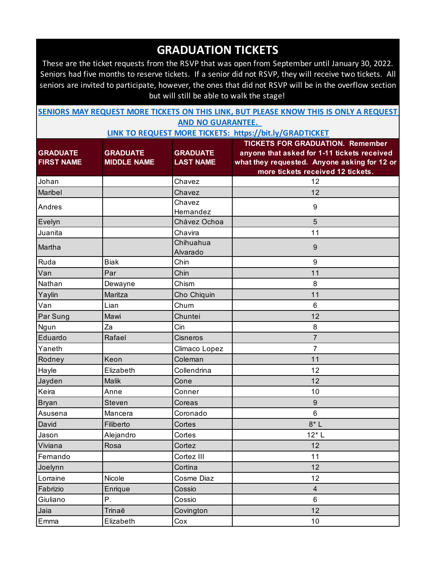These are the ticket requests from the RSVP that was open from September until January 30, 2022. Seniors had five months to reserve tickets. If a senior did not RSVP, they will receive two tickets. All seniors are invited to participate, however, the ones that did not RSVP will be in the overflow section but will still be able to walk the stage!

| SENIORS MAY REQUEST MORE TICKETS ON THIS LINK, BUT PLEASE KNOW THIS IS ONLY A REQUEST |                          |  |  |  |
|---------------------------------------------------------------------------------------|--------------------------|--|--|--|
|                                                                                       | <b>AND NO GUARANTEE.</b> |  |  |  |

|                   |                    |                  | <b>TICKETS FOR GRADUATION. Remember</b>      |
|-------------------|--------------------|------------------|----------------------------------------------|
| <b>GRADUATE</b>   | <b>GRADUATE</b>    | <b>GRADUATE</b>  | anyone that asked for 1-11 tickets received  |
| <b>FIRST NAME</b> | <b>MIDDLE NAME</b> | <b>LAST NAME</b> | what they requested. Anyone asking for 12 or |
|                   |                    |                  | more tickets received 12 tickets.            |
| Johan             |                    | Chavez           | 12                                           |
| Maribel           |                    | Chavez           | 12                                           |
| Andres            |                    | Chavez           | 9                                            |
|                   |                    | Hernandez        |                                              |
| Evelyn            |                    | Chávez Ochoa     | 5                                            |
| Juanita           |                    | Chavira          | 11                                           |
| Martha            |                    | Chihuahua        | $9\,$                                        |
|                   |                    | Alvarado         |                                              |
| Ruda              | <b>Biak</b>        | Chin             | 9                                            |
| Van               | Par                | Chin             | 11                                           |
| Nathan            | Dewayne            | Chism            | 8                                            |
| Yaylin            | Maritza            | Cho Chiquin      | 11                                           |
| Van               | Lian               | Chum             | 6                                            |
| Par Sung          | Mawi               | Chuntei          | 12                                           |
| Ngun              | Za                 | Cin              | 8                                            |
| Eduardo           | Rafael             | Cisneros         | $\overline{7}$                               |
| Yaneth            |                    | Climaco Lopez    | 7                                            |
| Rodney            | Keon               | Coleman          | 11                                           |
| Hayle             | Elizabeth          | Collendrina      | 12                                           |
| Jayden            | <b>Malik</b>       | Cone             | 12                                           |
| Keira             | Anne               | Conner           | 10                                           |
| <b>Bryan</b>      | <b>Steven</b>      | Coreas           | 9                                            |
| Asusena           | Mancera            | Coronado         | $6\phantom{1}$                               |
| David             | Filiberto          | Cortes           | $8*L$                                        |
| Jason             | Alejandro          | Cortes           | $12*$ L                                      |
| Viviana           | Rosa               | Cortez           | 12                                           |
| Fernando          |                    | Cortez III       | 11                                           |
| Joelynn           |                    | Cortina          | 12                                           |
| Lorraine          | Nicole             | Cosme Diaz       | 12                                           |
| Fabrizio          | Enrique            | Cossio           | $\overline{4}$                               |
| Giuliano          | Ρ.                 | Cossio           | 6                                            |
| Jaia              | Trinaē             | Covington        | 12                                           |
| Emma              | Elizabeth          | Cox              | 10                                           |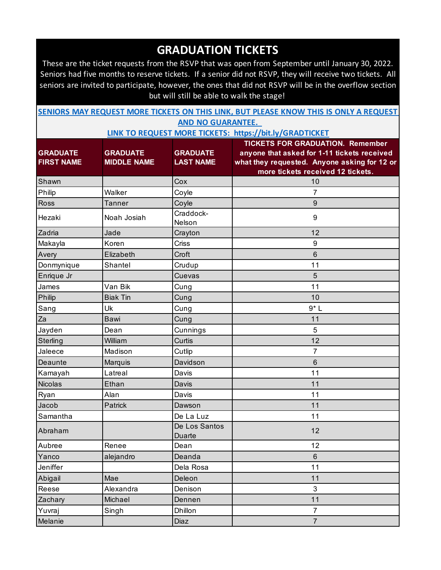These are the ticket requests from the RSVP that was open from September until January 30, 2022. Seniors had five months to reserve tickets. If a senior did not RSVP, they will receive two tickets. All seniors are invited to participate, however, the ones that did not RSVP will be in the overflow section but will still be able to walk the stage!

| SENIORS MAY REQUEST MORE TICKETS ON THIS LINK, BUT PLEASE KNOW THIS IS ONLY A REQUEST |  |                          |  |  |  |
|---------------------------------------------------------------------------------------|--|--------------------------|--|--|--|
|                                                                                       |  | <b>AND NO GUARANTEE.</b> |  |  |  |

|                   |                    |                         | <b>TICKETS FOR GRADUATION. Remember</b>      |
|-------------------|--------------------|-------------------------|----------------------------------------------|
| <b>GRADUATE</b>   | <b>GRADUATE</b>    | <b>GRADUATE</b>         | anyone that asked for 1-11 tickets received  |
| <b>FIRST NAME</b> | <b>MIDDLE NAME</b> | <b>LAST NAME</b>        | what they requested. Anyone asking for 12 or |
|                   |                    |                         | more tickets received 12 tickets.            |
| Shawn             |                    | Cox                     | 10                                           |
| Philip            | Walker             | Coyle                   | 7                                            |
| Ross              | <b>Tanner</b>      | Coyle                   | 9                                            |
| Hezaki            | Noah Josiah        | Craddock-<br>Nelson     | 9                                            |
| Zadria            | Jade               | Crayton                 | 12                                           |
| Makayla           | Koren              | Criss                   | 9                                            |
| Avery             | Elizabeth          | Croft                   | 6                                            |
| Donmynique        | Shantel            | Crudup                  | 11                                           |
| Enrique Jr        |                    | Cuevas                  | 5                                            |
| James             | Van Bik            | Cung                    | 11                                           |
| Philip            | <b>Biak Tin</b>    | Cung                    | 10                                           |
| Sang              | Uk                 | Cung                    | $9*L$                                        |
| Za                | Bawi               | Cung                    | 11                                           |
| Jayden            | Dean               | Cunnings                | 5                                            |
| Sterling          | William            | Curtis                  | 12                                           |
| Jaleece           | Madison            | Cutlip                  | 7                                            |
| Deaunte           | Marquis            | Davidson                | 6                                            |
| Kamayah           | Latreal            | Davis                   | 11                                           |
| <b>Nicolas</b>    | Ethan              | Davis                   | 11                                           |
| Ryan              | Alan               | Davis                   | 11                                           |
| Jacob             | Patrick            | Dawson                  | 11                                           |
| Samantha          |                    | De La Luz               | 11                                           |
| Abraham           |                    | De Los Santos<br>Duarte | 12                                           |
| Aubree            | Renee              | Dean                    | 12                                           |
| Yanco             | alejandro          | Deanda                  | $6\phantom{1}$                               |
| Jeniffer          |                    | Dela Rosa               | 11                                           |
| Abigail           | Mae                | Deleon                  | 11                                           |
| Reese             | Alexandra          | Denison                 | $\mathbf{3}$                                 |
| Zachary           | Michael            | Dennen                  | 11                                           |
| Yuvraj            | Singh              | Dhillon                 | $\overline{7}$                               |
| Melanie           |                    | Diaz                    | $\overline{7}$                               |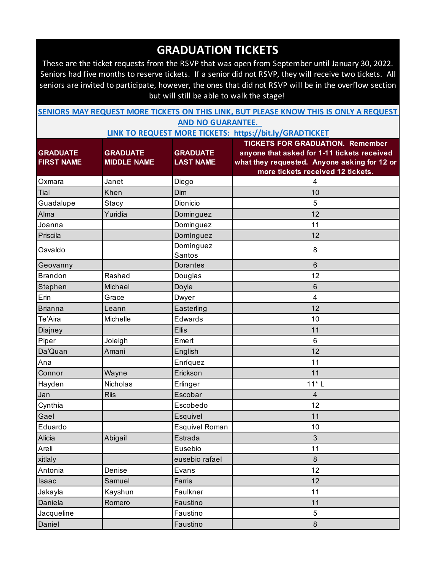These are the ticket requests from the RSVP that was open from September until January 30, 2022. Seniors had five months to reserve tickets. If a senior did not RSVP, they will receive two tickets. All seniors are invited to participate, however, the ones that did not RSVP will be in the overflow section but will still be able to walk the stage!

| SENIORS MAY REQUEST MORE TICKETS ON THIS LINK, BUT PLEASE KNOW THIS IS ONLY A REQUEST |                          |  |  |  |
|---------------------------------------------------------------------------------------|--------------------------|--|--|--|
|                                                                                       | <b>AND NO GUARANTEE.</b> |  |  |  |

|                   |                    |                       | <b>TICKETS FOR GRADUATION. Remember</b>      |
|-------------------|--------------------|-----------------------|----------------------------------------------|
| <b>GRADUATE</b>   | <b>GRADUATE</b>    | <b>GRADUATE</b>       | anyone that asked for 1-11 tickets received  |
| <b>FIRST NAME</b> | <b>MIDDLE NAME</b> | <b>LAST NAME</b>      | what they requested. Anyone asking for 12 or |
|                   |                    |                       | more tickets received 12 tickets.            |
| Oxmara            | Janet              | Diego                 | 4                                            |
| Tial              | Khen               | Dim                   | 10                                           |
| Guadalupe         | Stacy              | Dionicio              | 5                                            |
| Alma              | Yuridia            | Dominguez             | 12                                           |
| Joanna            |                    | Dominguez             | 11                                           |
| Priscila          |                    | Domínguez             | 12                                           |
| Osvaldo           |                    | Domínguez<br>Santos   | 8                                            |
| Geovanny          |                    | Dorantes              | $6\phantom{1}$                               |
| <b>Brandon</b>    | Rashad             | Douglas               | 12                                           |
| Stephen           | Michael            | Doyle                 | $\,6$                                        |
| Erin              | Grace              | Dwyer                 | $\overline{\mathbf{4}}$                      |
| <b>Brianna</b>    | Leann              | Easterling            | 12                                           |
| Te'Aira           | Michelle           | Edwards               | 10                                           |
| Diajney           |                    | <b>Ellis</b>          | 11                                           |
| Piper             | Joleigh            | Emert                 | 6                                            |
| Da'Quan           | Amani              | English               | 12                                           |
| Ana               |                    | Enríquez              | 11                                           |
| Connor            | Wayne              | Erickson              | 11                                           |
| Hayden            | Nicholas           | Erlinger              | $11*L$                                       |
| Jan               | <b>Riis</b>        | Escobar               | $\overline{4}$                               |
| Cynthia           |                    | Escobedo              | 12                                           |
| Gael              |                    | Esquivel              | 11                                           |
| Eduardo           |                    | <b>Esquivel Roman</b> | 10                                           |
| Alicia            | Abigail            | Estrada               | $\mathfrak{B}$                               |
| Areli             |                    | Eusebio               | 11                                           |
| xitlaly           |                    | eusebio rafael        | $8\phantom{1}$                               |
| Antonia           | Denise             | Evans                 | 12                                           |
| Isaac             | Samuel             | Farris                | 12                                           |
| Jakayla           | Kayshun            | Faulkner              | 11                                           |
| Daniela           | Romero             | Faustino              | 11                                           |
| Jacqueline        |                    | Faustino              | 5                                            |
| Daniel            |                    | Faustino              | $\bf 8$                                      |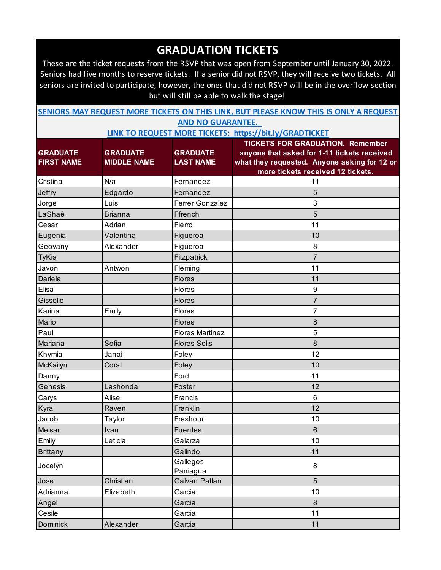These are the ticket requests from the RSVP that was open from September until January 30, 2022. Seniors had five months to reserve tickets. If a senior did not RSVP, they will receive two tickets. All seniors are invited to participate, however, the ones that did not RSVP will be in the overflow section but will still be able to walk the stage!

| SENIORS MAY REQUEST MORE TICKETS ON THIS LINK, BUT PLEASE KNOW THIS IS ONLY A REQUEST |  |                          |  |  |  |
|---------------------------------------------------------------------------------------|--|--------------------------|--|--|--|
|                                                                                       |  | <b>AND NO GUARANTEE.</b> |  |  |  |

|                   |                    |                        | <b>TICKETS FOR GRADUATION. Remember</b>      |
|-------------------|--------------------|------------------------|----------------------------------------------|
| <b>GRADUATE</b>   | <b>GRADUATE</b>    | <b>GRADUATE</b>        | anyone that asked for 1-11 tickets received  |
| <b>FIRST NAME</b> | <b>MIDDLE NAME</b> | <b>LAST NAME</b>       | what they requested. Anyone asking for 12 or |
|                   |                    |                        | more tickets received 12 tickets.            |
| Cristina          | N/a                | Fernandez              | 11                                           |
| Jeffry            | Edgardo            | Fernandez              | 5                                            |
| Jorge             | Luis               | Ferrer Gonzalez        | 3                                            |
| LaShaé            | <b>Brianna</b>     | Ffrench                | $\overline{5}$                               |
| Cesar             | Adrian             | Fierro                 | 11                                           |
| Eugenia           | Valentina          | Figueroa               | 10                                           |
| Geovany           | Alexander          | Figueroa               | 8                                            |
| <b>TyKia</b>      |                    | Fitzpatrick            | $\overline{7}$                               |
| Javon             | Antwon             | Fleming                | 11                                           |
| Dariela           |                    | <b>Flores</b>          | 11                                           |
| Elisa             |                    | Flores                 | $\boldsymbol{9}$                             |
| Gisselle          |                    | <b>Flores</b>          | 7                                            |
| Karina            | Emily              | Flores                 | 7                                            |
| Mario             |                    | <b>Flores</b>          | 8                                            |
| Paul              |                    | <b>Flores Martinez</b> | 5                                            |
| Mariana           | Sofia              | <b>Flores Solis</b>    | $\bf 8$                                      |
| Khymia            | Janai              | Foley                  | 12                                           |
| McKailyn          | Coral              | Foley                  | 10                                           |
| Danny             |                    | Ford                   | 11                                           |
| Genesis           | Lashonda           | Foster                 | 12                                           |
| Carys             | Alise              | Francis                | $6\phantom{1}$                               |
| Kyra              | Raven              | Franklin               | 12                                           |
| Jacob             | Taylor             | Freshour               | 10                                           |
| Melsar            | Ivan               | <b>Fuentes</b>         | $6\phantom{1}$                               |
| Emily             | Leticia            | Galarza                | 10                                           |
| <b>Brittany</b>   |                    | Galindo                | 11                                           |
| Jocelyn           |                    | Gallegos               | 8                                            |
|                   |                    | Paniagua               |                                              |
| Jose              | Christian          | Galvan Patlan          | 5                                            |
| Adrianna          | Elizabeth          | Garcia                 | 10                                           |
| Angel             |                    | Garcia                 | 8                                            |
| Cesile            |                    | Garcia                 | 11                                           |
| <b>Dominick</b>   | Alexander          | Garcia                 | 11                                           |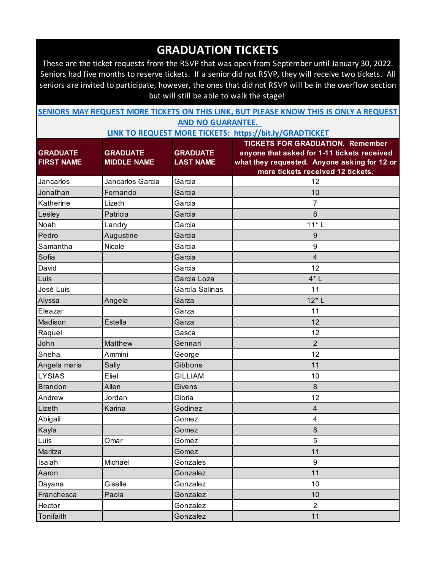These are the ticket requests from the RSVP that was open from September until January 30, 2022. Seniors had five months to reserve tickets. If a senior did not RSVP, they will receive two tickets. All seniors are invited to participate, however, the ones that did not RSVP will be in the overflow section but will still be able to walk the stage!

| SENIORS MAY REQUEST MORE TICKETS ON THIS LINK, BUT PLEASE KNOW THIS IS ONLY A REQUEST |                          |  |  |  |
|---------------------------------------------------------------------------------------|--------------------------|--|--|--|
|                                                                                       | <b>AND NO GUARANTEE.</b> |  |  |  |

|                   |                    |                  | <b>TICKETS FOR GRADUATION. Remember</b>                                           |
|-------------------|--------------------|------------------|-----------------------------------------------------------------------------------|
| <b>GRADUATE</b>   | <b>GRADUATE</b>    | <b>GRADUATE</b>  | anyone that asked for 1-11 tickets received                                       |
| <b>FIRST NAME</b> | <b>MIDDLE NAME</b> | <b>LAST NAME</b> | what they requested. Anyone asking for 12 or<br>more tickets received 12 tickets. |
| Jancarlos         | Jancarlos Garcia   | Garcia           | 12                                                                                |
| Jonathan          | Fernando           | Garcia           | 10                                                                                |
| Katherine         | Lizeth             | Garcia           | 7                                                                                 |
| Lesley            | Patricia           | Garcia           | 8                                                                                 |
| Noah              | Landry             | Garcia           | $11*L$                                                                            |
| Pedro             | Augustine          | Garcia           | 9                                                                                 |
| Samantha          | Nicole             | Garcia           | 9                                                                                 |
| Sofia             |                    | Garcia           | $\overline{\mathbf{4}}$                                                           |
| David             |                    | Garcia           | 12                                                                                |
| Luis              |                    | Garcia Loza      | $4^*$ L                                                                           |
| José Luis         |                    | García Salinas   | 11                                                                                |
| Alyssa            | Angela             | Garza            | $12*$ L                                                                           |
| Eleazar           |                    | Garza            | 11                                                                                |
| Madison           | Estella            | Garza            | 12                                                                                |
| Raquel            |                    | Gasca            | 12                                                                                |
| John              | Matthew            | Gennari          | $\overline{2}$                                                                    |
| Sneha             | Ammini             | George           | 12                                                                                |
| Angela maria      | Sally              | Gibbons          | 11                                                                                |
| <b>LYSIAS</b>     | Eliel              | <b>GILLIAM</b>   | 10                                                                                |
| <b>Brandon</b>    | Allen              | Givens           | 8                                                                                 |
| Andrew            | Jordan             | Gloria           | 12                                                                                |
| Lizeth            | Karina             | Godinez          | $\overline{\mathbf{4}}$                                                           |
| Abigail           |                    | Gomez            | 4                                                                                 |
| Kayla             |                    | Gomez            | 8                                                                                 |
| Luis              | Omar               | Gomez            | 5                                                                                 |
| Maritza           |                    | Gomez            | 11                                                                                |
| Isaiah            | Michael            | Gonzales         | 9                                                                                 |
| Aaron             |                    | Gonzalez         | 11                                                                                |
| Dayana            | Giselle            | Gonzalez         | 10                                                                                |
| Franchesca        | Paola              | Gonzalez         | 10                                                                                |
| Hector            |                    | Gonzalez         | $\overline{2}$                                                                    |
| Tonifaith         |                    | Gonzalez         | 11                                                                                |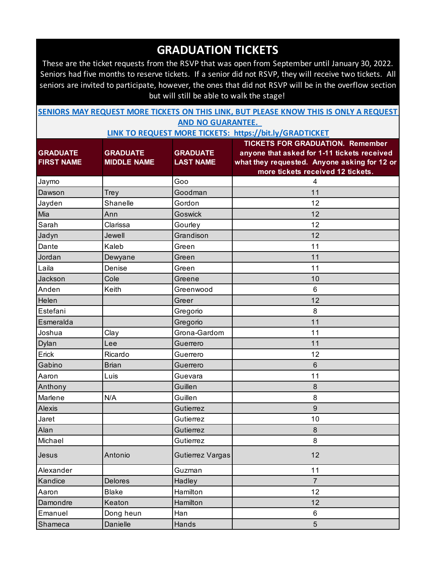These are the ticket requests from the RSVP that was open from September until January 30, 2022. Seniors had five months to reserve tickets. If a senior did not RSVP, they will receive two tickets. All seniors are invited to participate, however, the ones that did not RSVP will be in the overflow section but will still be able to walk the stage!

| SENIORS MAY REQUEST MORE TICKETS ON THIS LINK, BUT PLEASE KNOW THIS IS ONLY A REQUEST |  |                          |  |  |  |
|---------------------------------------------------------------------------------------|--|--------------------------|--|--|--|
|                                                                                       |  | <b>AND NO GUARANTEE.</b> |  |  |  |

|                   |                    |                  | <b>TICKETS FOR GRADUATION. Remember</b>      |
|-------------------|--------------------|------------------|----------------------------------------------|
| <b>GRADUATE</b>   | <b>GRADUATE</b>    | <b>GRADUATE</b>  | anyone that asked for 1-11 tickets received  |
| <b>FIRST NAME</b> | <b>MIDDLE NAME</b> | <b>LAST NAME</b> | what they requested. Anyone asking for 12 or |
|                   |                    |                  | more tickets received 12 tickets.            |
| Jaymo             |                    | Goo              | 4                                            |
| Dawson            | Trey               | Goodman          | 11                                           |
| Jayden            | Shanelle           | Gordon           | 12                                           |
| Mia               | Ann                | <b>Goswick</b>   | 12                                           |
| Sarah             | Clarissa           | Gourley          | 12                                           |
| Jadyn             | Jewell             | Grandison        | 12                                           |
| Dante             | Kaleb              | Green            | 11                                           |
| Jordan            | Dewyane            | Green            | 11                                           |
| Laila             | Denise             | Green            | 11                                           |
| Jackson           | Cole               | Greene           | 10                                           |
| Anden             | Keith              | Greenwood        | 6                                            |
| Helen             |                    | Greer            | 12                                           |
| Estefani          |                    | Gregorio         | 8                                            |
| Esmeralda         |                    | Gregorio         | 11                                           |
| Joshua            | Clay               | Grona-Gardom     | 11                                           |
| Dylan             | Lee                | Guerrero         | 11                                           |
| Erick             | Ricardo            | Guerrero         | 12                                           |
| Gabino            | <b>Brian</b>       | Guerrero         | 6                                            |
| Aaron             | Luis               | Guevara          | 11                                           |
| Anthony           |                    | Guillen          | 8                                            |
| Marlene           | N/A                | Guillen          | 8                                            |
| Alexis            |                    | Gutierrez        | 9                                            |
| Jaret             |                    | Gutierrez        | 10                                           |
| Alan              |                    | Gutierrez        | 8                                            |
| Michael           |                    | Gutierrez        | 8                                            |
| Jesus             | Antonio            | Gutierrez Vargas | 12                                           |
| Alexander         |                    | Guzman           | 11                                           |
| Kandice           | Delores            | Hadley           | $\overline{7}$                               |
| Aaron             | <b>Blake</b>       | Hamilton         | 12                                           |
| Damondre          | Keaton             | Hamilton         | 12                                           |
| Emanuel           | Dong heun          | Han              | 6                                            |
| Shameca           | Danielle           | Hands            | $5\,$                                        |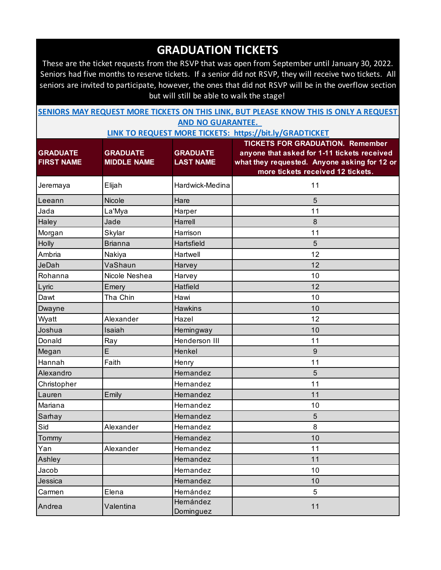These are the ticket requests from the RSVP that was open from September until January 30, 2022. Seniors had five months to reserve tickets. If a senior did not RSVP, they will receive two tickets. All seniors are invited to participate, however, the ones that did not RSVP will be in the overflow section but will still be able to walk the stage!

| SENIORS MAY REQUEST MORE TICKETS ON THIS LINK, BUT PLEASE KNOW THIS IS ONLY A REQUEST |                          |  |  |  |
|---------------------------------------------------------------------------------------|--------------------------|--|--|--|
|                                                                                       | <b>AND NO GUARANTEE.</b> |  |  |  |

| <b>GRADUATE</b><br><b>FIRST NAME</b> | <b>GRADUATE</b><br><b>MIDDLE NAME</b> | <b>GRADUATE</b><br><b>LAST NAME</b> | <b>TICKETS FOR GRADUATION. Remember</b><br>anyone that asked for 1-11 tickets received<br>what they requested. Anyone asking for 12 or<br>more tickets received 12 tickets. |
|--------------------------------------|---------------------------------------|-------------------------------------|-----------------------------------------------------------------------------------------------------------------------------------------------------------------------------|
| Jeremaya                             | Elijah                                | Hardwick-Medina                     | 11                                                                                                                                                                          |
| Leeann                               | Nicole                                | Hare                                | 5                                                                                                                                                                           |
| Jada                                 | La'Mya                                | Harper                              | 11                                                                                                                                                                          |
| Haley                                | Jade                                  | Harrell                             | $\delta$                                                                                                                                                                    |
| Morgan                               | Skylar                                | Harrison                            | 11                                                                                                                                                                          |
| Holly                                | <b>Brianna</b>                        | Hartsfield                          | 5                                                                                                                                                                           |
| Ambria                               | Nakiya                                | Hartwell                            | 12                                                                                                                                                                          |
| <b>JeDah</b>                         | VaShaun                               | Harvey                              | 12                                                                                                                                                                          |
| Rohanna                              | Nicole Neshea                         | Harvey                              | 10                                                                                                                                                                          |
| Lyric                                | Emery                                 | Hatfield                            | 12                                                                                                                                                                          |
| Dawt                                 | Tha Chin                              | Hawi                                | 10                                                                                                                                                                          |
| Dwayne                               |                                       | <b>Hawkins</b>                      | 10                                                                                                                                                                          |
| Wyatt                                | Alexander                             | Hazel                               | 12                                                                                                                                                                          |
| Joshua                               | Isaiah                                | Hemingway                           | 10                                                                                                                                                                          |
| Donald                               | Ray                                   | Henderson III                       | 11                                                                                                                                                                          |
| Megan                                | E                                     | Henkel                              | $\overline{9}$                                                                                                                                                              |
| Hannah                               | Faith                                 | Henry                               | 11                                                                                                                                                                          |
| Alexandro                            |                                       | Hernandez                           | 5                                                                                                                                                                           |
| Christopher                          |                                       | Hemandez                            | 11                                                                                                                                                                          |
| Lauren                               | Emily                                 | Hernandez                           | 11                                                                                                                                                                          |
| Mariana                              |                                       | Hernandez                           | 10                                                                                                                                                                          |
| Sarhay                               |                                       | Hernandez                           | 5                                                                                                                                                                           |
| Sid                                  | Alexander                             | Hemandez                            | 8                                                                                                                                                                           |
| Tommy                                |                                       | Hernandez                           | 10                                                                                                                                                                          |
| Yan                                  | Alexander                             | Hemandez                            | 11                                                                                                                                                                          |
| Ashley                               |                                       | Hernandez                           | 11                                                                                                                                                                          |
| Jacob                                |                                       | Hernandez                           | 10                                                                                                                                                                          |
| Jessica                              |                                       | Hernandez                           | 10                                                                                                                                                                          |
| Carmen                               | Elena                                 | Hernández                           | 5                                                                                                                                                                           |
| Andrea                               | Valentina                             | Hernández<br>Dominguez              | 11                                                                                                                                                                          |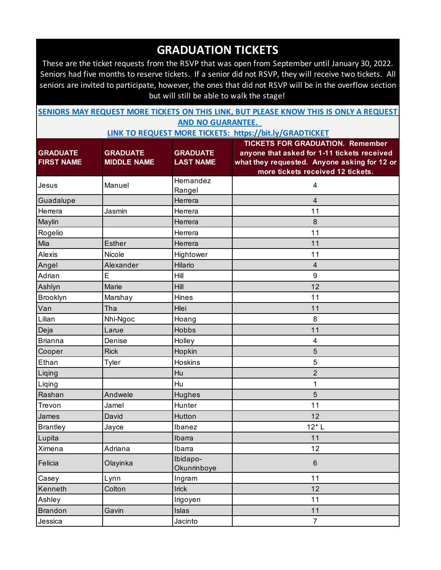These are the ticket requests from the RSVP that was open from September until January 30, 2022. Seniors had five months to reserve tickets. If a senior did not RSVP, they will receive two tickets. All seniors are invited to participate, however, the ones that did not RSVP will be in the overflow section but will still be able to walk the stage!

| SENIORS MAY REQUEST MORE TICKETS ON THIS LINK, BUT PLEASE KNOW THIS IS ONLY A REQUEST |                          |  |  |
|---------------------------------------------------------------------------------------|--------------------------|--|--|
|                                                                                       | <b>AND NO GUARANTEE.</b> |  |  |

|                   |                    |                         | <b>TICKETS FOR GRADUATION. Remember</b>      |
|-------------------|--------------------|-------------------------|----------------------------------------------|
| <b>GRADUATE</b>   | <b>GRADUATE</b>    | <b>GRADUATE</b>         | anyone that asked for 1-11 tickets received  |
| <b>FIRST NAME</b> | <b>MIDDLE NAME</b> | <b>LAST NAME</b>        | what they requested. Anyone asking for 12 or |
|                   |                    | Hernandez               | more tickets received 12 tickets.            |
| Jesus             | Manuel             | Rangel                  | 4                                            |
| Guadalupe         |                    | Herrera                 | $\overline{4}$                               |
| Herrera           | Jasmin             | Herrera                 | 11                                           |
| Maylin            |                    | Herrera                 | 8                                            |
| Rogelio           |                    | Herrera                 | 11                                           |
| Mia               | <b>Esther</b>      | Herrera                 | 11                                           |
| Alexis            | Nicole             | Hightower               | 11                                           |
| Angel             | Alexander          | Hilario                 | $\overline{4}$                               |
| Adrian            | E                  | Hill                    | $\boldsymbol{9}$                             |
| Ashlyn            | Marie              | Hill                    | 12                                           |
| Brooklyn          | Marshay            | <b>Hines</b>            | 11                                           |
| Van               | Tha                | Hlei                    | 11                                           |
| Lilian            | Nhi-Ngoc           | Hoang                   | 8                                            |
| Deja              | Larue              | Hobbs                   | 11                                           |
| <b>Brianna</b>    | Denise             | Holley                  | 4                                            |
| Cooper            | <b>Rick</b>        | Hopkin                  | 5                                            |
| Ethan             | Tyler              | <b>Hoskins</b>          | 5                                            |
| Liqing            |                    | Hu                      | $\overline{2}$                               |
| Liqing            |                    | Hu                      | 1                                            |
| Rashan            | Andwele            | Hughes                  | 5                                            |
| Trevon            | Jamel              | Hunter                  | 11                                           |
| James             | David              | Hutton                  | 12                                           |
| <b>Brantley</b>   | Jayce              | Ibanez                  | $12*$ L                                      |
| Lupita            |                    | Ibarra                  | 11                                           |
| Ximena            | Adriana            | Ibarra                  | 12                                           |
| Felicia           | Olayinka           | Ibidapo-<br>Okunrinboye | $\,6\,$                                      |
| Casey             | Lynn               | Ingram                  | 11                                           |
| Kenneth           | Colton             | Irick                   | 12                                           |
| Ashley            |                    | Irigoyen                | 11                                           |
| <b>Brandon</b>    | Gavin              | Islas                   | 11                                           |
| Jessica           |                    | Jacinto                 | $\overline{7}$                               |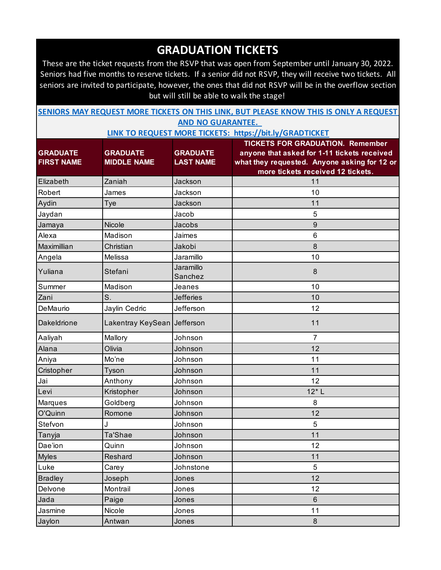These are the ticket requests from the RSVP that was open from September until January 30, 2022. Seniors had five months to reserve tickets. If a senior did not RSVP, they will receive two tickets. All seniors are invited to participate, however, the ones that did not RSVP will be in the overflow section but will still be able to walk the stage!

| SENIORS MAY REQUEST MORE TICKETS ON THIS LINK, BUT PLEASE KNOW THIS IS ONLY A REQUEST |  |                          |  |  |  |
|---------------------------------------------------------------------------------------|--|--------------------------|--|--|--|
|                                                                                       |  | <b>AND NO GUARANTEE.</b> |  |  |  |

|                    |                             |                  | <b>TICKETS FOR GRADUATION. Remember</b>      |
|--------------------|-----------------------------|------------------|----------------------------------------------|
| <b>GRADUATE</b>    | <b>GRADUATE</b>             | <b>GRADUATE</b>  | anyone that asked for 1-11 tickets received  |
| <b>FIRST NAME</b>  | <b>MIDDLE NAME</b>          | <b>LAST NAME</b> | what they requested. Anyone asking for 12 or |
|                    |                             |                  | more tickets received 12 tickets.            |
| Elizabeth          | Zaniah                      | Jackson          | 11                                           |
| Robert             | James                       | Jackson          | 10                                           |
| Aydin              | Tye                         | Jackson          | 11                                           |
| Jaydan             |                             | Jacob            | 5                                            |
| Jamaya             | Nicole                      | Jacobs           | 9                                            |
| Alexa              | Madison                     | Jaimes           | $6\phantom{1}$                               |
| Maximillian        | Christian                   | Jakobi           | 8                                            |
| Angela             | Melissa                     | Jaramillo        | 10                                           |
| Yuliana            | Stefani                     | Jaramillo        | 8                                            |
|                    |                             | Sanchez          |                                              |
| Summer             | Madison                     | Jeanes           | 10                                           |
| Zani               | S.                          | <b>Jefferies</b> | 10                                           |
| DeMaurio           | Jaylin Cedric               | Jefferson        | 12                                           |
| <b>Dakeldrione</b> | Lakentray KeySean Jefferson |                  | 11                                           |
| Aaliyah            | Mallory                     | Johnson          | $\overline{7}$                               |
| Alana              | Olivia                      | Johnson          | 12                                           |
| Aniya              | Mo'ne                       | Johnson          | 11                                           |
| Cristopher         | Tyson                       | Johnson          | 11                                           |
| Jai                | Anthony                     | Johnson          | 12                                           |
| Levi               | Kristopher                  | Johnson          | $12*$ L                                      |
| Marques            | Goldberg                    | Johnson          | 8                                            |
| O'Quinn            | Romone                      | Johnson          | 12                                           |
| Stefvon            | J                           | Johnson          | 5                                            |
| Tanyja             | Ta'Shae                     | Johnson          | 11                                           |
| Dae'ion            | Quinn                       | Johnson          | 12                                           |
| <b>Myles</b>       | Reshard                     | Johnson          | 11                                           |
| Luke               | Carey                       | Johnstone        | 5                                            |
| <b>Bradley</b>     | Joseph                      | Jones            | 12                                           |
| Delvone            | Montrail                    | Jones            | 12                                           |
| Jada               | Paige                       | Jones            | $\,6\,$                                      |
| Jasmine            | Nicole                      | Jones            | 11                                           |
| Jaylon             | Antwan                      | Jones            | 8                                            |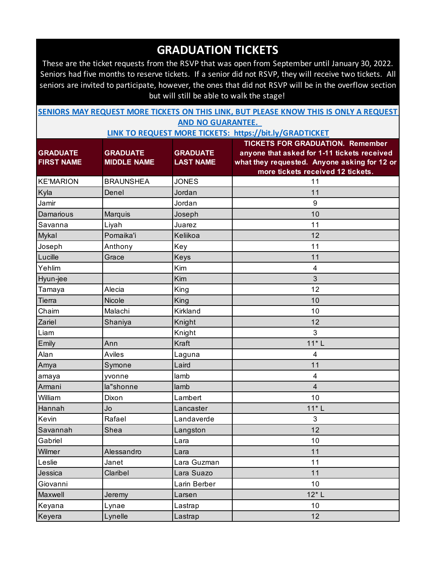These are the ticket requests from the RSVP that was open from September until January 30, 2022. Seniors had five months to reserve tickets. If a senior did not RSVP, they will receive two tickets. All seniors are invited to participate, however, the ones that did not RSVP will be in the overflow section but will still be able to walk the stage!

|                                      |                                       |                                     | <b>SENIORS MAY REQUEST MORE TICKETS ON THIS LINK, BUT PLEASE KNOW THIS IS ONLY A REQUEST</b>                                                                                |
|--------------------------------------|---------------------------------------|-------------------------------------|-----------------------------------------------------------------------------------------------------------------------------------------------------------------------------|
|                                      |                                       | <b>AND NO GUARANTEE.</b>            |                                                                                                                                                                             |
|                                      |                                       |                                     | LINK TO REQUEST MORE TICKETS: https://bit.ly/GRADTICKET                                                                                                                     |
| <b>GRADUATE</b><br><b>FIRST NAME</b> | <b>GRADUATE</b><br><b>MIDDLE NAME</b> | <b>GRADUATE</b><br><b>LAST NAME</b> | <b>TICKETS FOR GRADUATION. Remember</b><br>anyone that asked for 1-11 tickets received<br>what they requested. Anyone asking for 12 or<br>more tickets received 12 tickets. |
| <b>KE'MARION</b>                     | <b>BRAUNSHEA</b>                      | <b>JONES</b>                        | 11                                                                                                                                                                          |
| Kyla                                 | Denel                                 | Jordan                              | 11                                                                                                                                                                          |
| Jamir                                |                                       | Jordan                              | $\boldsymbol{9}$                                                                                                                                                            |
| <b>Damarious</b>                     | Marquis                               | Joseph                              | 10                                                                                                                                                                          |
| Savanna                              | Liyah                                 | Juarez                              | 11                                                                                                                                                                          |
| Mykal                                | Pomaika'i                             | Keliikoa                            | 12                                                                                                                                                                          |
| Joseph                               | Anthony                               | Key                                 | 11                                                                                                                                                                          |
| Lucille                              | Grace                                 | Keys                                | 11                                                                                                                                                                          |
| Yehlim                               |                                       | Kim                                 | 4                                                                                                                                                                           |
| Hyun-jee                             |                                       | Kim                                 | 3                                                                                                                                                                           |
| Tamaya                               | Alecia                                | King                                | 12                                                                                                                                                                          |
| Tierra                               | <b>Nicole</b>                         | King                                | 10                                                                                                                                                                          |
| Chaim                                | Malachi                               | Kirkland                            | 10                                                                                                                                                                          |
| Zariel                               | Shaniya                               | Knight                              | 12                                                                                                                                                                          |
| Liam                                 |                                       | Knight                              | 3                                                                                                                                                                           |
| Emily                                | Ann                                   | Kraft                               | $11*L$                                                                                                                                                                      |
| Alan                                 | <b>Aviles</b>                         | Laguna                              | 4                                                                                                                                                                           |
| Amya                                 | Symone                                | Laird                               | 11                                                                                                                                                                          |
| amaya                                | yvonne                                | lamb                                | 4                                                                                                                                                                           |
| Armani                               | la"shonne                             | lamb                                | $\overline{\mathbf{4}}$                                                                                                                                                     |
| William                              | Dixon                                 | Lambert                             | 10                                                                                                                                                                          |
| Hannah                               | Jo                                    | Lancaster                           | $11*L$                                                                                                                                                                      |
| Kevin                                | Rafael                                | Landaverde                          | 3                                                                                                                                                                           |
| Savannah                             | Shea                                  | Langston                            | 12                                                                                                                                                                          |
| Gabriel                              |                                       | Lara                                | 10                                                                                                                                                                          |
| Wilmer                               | Alessandro                            | Lara                                | 11                                                                                                                                                                          |
| Leslie                               | Janet                                 | Lara Guzman                         | 11                                                                                                                                                                          |
| Jessica                              | Claribel                              | Lara Suazo                          | 11                                                                                                                                                                          |
| Giovanni                             |                                       | Larin Berber                        | 10                                                                                                                                                                          |
| Maxwell                              | Jeremy                                | Larsen                              | $12*$ L                                                                                                                                                                     |
| Keyana                               | Lynae                                 | Lastrap                             | 10                                                                                                                                                                          |
| Keyera                               | Lynelle                               | Lastrap                             | 12                                                                                                                                                                          |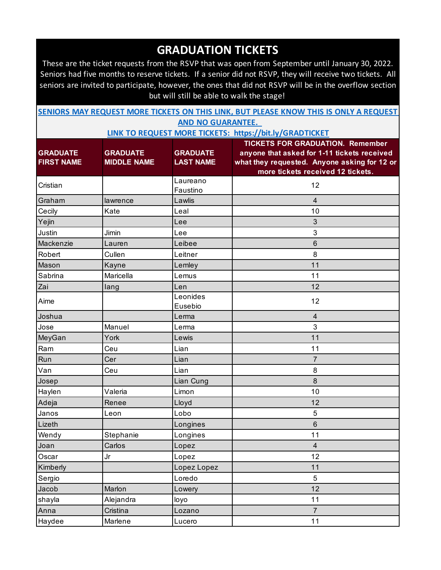These are the ticket requests from the RSVP that was open from September until January 30, 2022. Seniors had five months to reserve tickets. If a senior did not RSVP, they will receive two tickets. All seniors are invited to participate, however, the ones that did not RSVP will be in the overflow section but will still be able to walk the stage!

| SENIORS MAY REQUEST MORE TICKETS ON THIS LINK, BUT PLEASE KNOW THIS IS ONLY A REQUEST |                          |  |  |  |
|---------------------------------------------------------------------------------------|--------------------------|--|--|--|
|                                                                                       | <b>AND NO GUARANTEE.</b> |  |  |  |

|                   |                    |                      | <b>TICKETS FOR GRADUATION. Remember</b>      |
|-------------------|--------------------|----------------------|----------------------------------------------|
| <b>GRADUATE</b>   | <b>GRADUATE</b>    | <b>GRADUATE</b>      | anyone that asked for 1-11 tickets received  |
| <b>FIRST NAME</b> | <b>MIDDLE NAME</b> | <b>LAST NAME</b>     | what they requested. Anyone asking for 12 or |
|                   |                    |                      | more tickets received 12 tickets.            |
| Cristian          |                    | Laureano<br>Faustino | 12                                           |
| Graham            | lawrence           | Lawlis               | $\overline{4}$                               |
| Cecily            | Kate               | Leal                 | 10                                           |
| Yejin             |                    | Lee                  | 3                                            |
| Justin            | Jimin              | Lee                  | 3                                            |
| Mackenzie         | Lauren             | Leibee               | $\,6$                                        |
| Robert            | Cullen             | Leitner              | 8                                            |
| Mason             | Kayne              | Lemley               | 11                                           |
| Sabrina           | Maricella          | Lemus                | 11                                           |
| Zai               | lang               | Len                  | 12                                           |
| Aime              |                    | Leonides<br>Eusebio  | 12                                           |
| Joshua            |                    | Lerma                | $\overline{4}$                               |
| Jose              | Manuel             | Lerma                | 3                                            |
| MeyGan            | York               | Lewis                | 11                                           |
| Ram               | Ceu                | Lian                 | 11                                           |
| Run               | Cer                | Lian                 | 7                                            |
| Van               | Ceu                | Lian                 | 8                                            |
| Josep             |                    | Lian Cung            | 8                                            |
| Haylen            | Valeria            | Limon                | 10                                           |
| Adeja             | Renee              | Lloyd                | 12                                           |
| Janos             | Leon               | Lobo                 | 5                                            |
| Lizeth            |                    | Longines             | 6                                            |
| Wendy             | Stephanie          | Longines             | 11                                           |
| Joan              | Carlos             | Lopez                | $\overline{4}$                               |
| Oscar             | Jr                 | Lopez                | 12                                           |
| Kimberly          |                    | Lopez Lopez          | 11                                           |
| Sergio            |                    | Loredo               | 5                                            |
| Jacob             | Marlon             | Lowery               | 12                                           |
| shayla            | Alejandra          | loyo                 | 11                                           |
| Anna              | Cristina           | Lozano               | $\overline{7}$                               |
| Haydee            | Marlene            | Lucero               | 11                                           |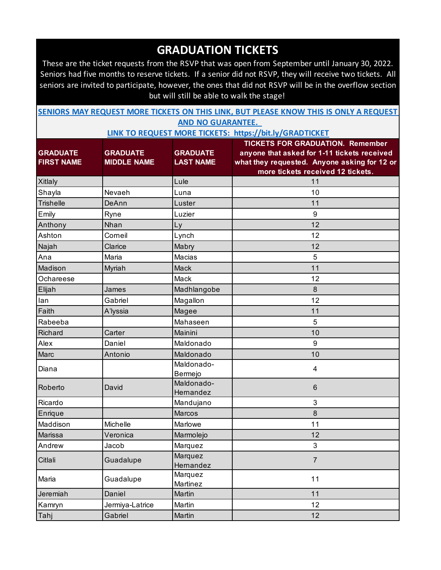These are the ticket requests from the RSVP that was open from September until January 30, 2022. Seniors had five months to reserve tickets. If a senior did not RSVP, they will receive two tickets. All seniors are invited to participate, however, the ones that did not RSVP will be in the overflow section but will still be able to walk the stage!

| SENIORS MAY REQUEST MORE TICKETS ON THIS LINK, BUT PLEASE KNOW THIS IS ONLY A REQUEST |  |                          |  |  |  |
|---------------------------------------------------------------------------------------|--|--------------------------|--|--|--|
|                                                                                       |  | <b>AND NO GUARANTEE.</b> |  |  |  |

| <b>GRADUATE</b><br><b>FIRST NAME</b> | <b>GRADUATE</b><br><b>MIDDLE NAME</b> | <b>GRADUATE</b><br><b>LAST NAME</b> | <b>TICKETS FOR GRADUATION. Remember</b><br>anyone that asked for 1-11 tickets received<br>what they requested. Anyone asking for 12 or<br>more tickets received 12 tickets. |
|--------------------------------------|---------------------------------------|-------------------------------------|-----------------------------------------------------------------------------------------------------------------------------------------------------------------------------|
| <b>Xitlaly</b>                       |                                       | Lule                                | 11                                                                                                                                                                          |
| Shayla                               | Nevaeh                                | Luna                                | 10                                                                                                                                                                          |
| <b>Trishelle</b>                     | DeAnn                                 | Luster                              | 11                                                                                                                                                                          |
| Emily                                | Ryne                                  | Luzier                              | $9\,$                                                                                                                                                                       |
| Anthony                              | Nhan                                  | Ly                                  | 12                                                                                                                                                                          |
| Ashton                               | Corneil                               | Lynch                               | 12                                                                                                                                                                          |
| Najah                                | Clarice                               | Mabry                               | 12                                                                                                                                                                          |
| Ana                                  | Maria                                 | Macias                              | 5                                                                                                                                                                           |
| Madison                              | Myriah                                | Mack                                | 11                                                                                                                                                                          |
| Ochareese                            |                                       | Mack                                | 12                                                                                                                                                                          |
| Elijah                               | James                                 | Madhlangobe                         | 8                                                                                                                                                                           |
| lan                                  | Gabriel                               | Magallon                            | 12                                                                                                                                                                          |
| Faith                                | A'lyssia                              | Magee                               | 11                                                                                                                                                                          |
| Rabeeba                              |                                       | Mahaseen                            | 5                                                                                                                                                                           |
| <b>Richard</b>                       | Carter                                | Mainini                             | 10                                                                                                                                                                          |
| Alex                                 | Daniel                                | Maldonado                           | 9                                                                                                                                                                           |
| Marc                                 | Antonio                               | Maldonado                           | 10                                                                                                                                                                          |
| Diana                                |                                       | Maldonado-<br>Bermejo               | 4                                                                                                                                                                           |
| Roberto                              | David                                 | Maldonado-<br>Hernandez             | $6\phantom{1}$                                                                                                                                                              |
| Ricardo                              |                                       | Mandujano                           | 3                                                                                                                                                                           |
| Enrique                              |                                       | <b>Marcos</b>                       | 8                                                                                                                                                                           |
| Maddison                             | <b>Michelle</b>                       | Marlowe                             | 11                                                                                                                                                                          |
| Marissa                              | Veronica                              | Marmolejo                           | 12                                                                                                                                                                          |
| Andrew                               | Jacob                                 | Marquez                             | $\mathfrak{B}$                                                                                                                                                              |
| Citlali                              | Guadalupe                             | Marquez<br>Hernandez                | $\overline{7}$                                                                                                                                                              |
| Maria                                | Guadalupe                             | Marquez<br>Martinez                 | 11                                                                                                                                                                          |
| Jeremiah                             | Daniel                                | Martin                              | 11                                                                                                                                                                          |
| Kamryn                               | Jermiya-Latrice                       | Martin                              | 12                                                                                                                                                                          |
| Tahj                                 | Gabriel                               | Martin                              | 12                                                                                                                                                                          |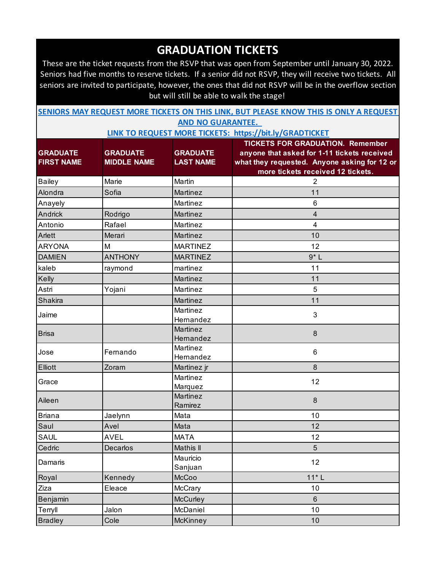These are the ticket requests from the RSVP that was open from September until January 30, 2022. Seniors had five months to reserve tickets. If a senior did not RSVP, they will receive two tickets. All seniors are invited to participate, however, the ones that did not RSVP will be in the overflow section but will still be able to walk the stage!

| SENIORS MAY REQUEST MORE TICKETS ON THIS LINK, BUT PLEASE KNOW THIS IS ONLY A REQUEST |  |                          |  |  |  |
|---------------------------------------------------------------------------------------|--|--------------------------|--|--|--|
|                                                                                       |  | <b>AND NO GUARANTEE.</b> |  |  |  |

|                   |                    |                     | <b>TICKETS FOR GRADUATION. Remember</b>      |
|-------------------|--------------------|---------------------|----------------------------------------------|
| <b>GRADUATE</b>   | <b>GRADUATE</b>    | <b>GRADUATE</b>     | anyone that asked for 1-11 tickets received  |
| <b>FIRST NAME</b> | <b>MIDDLE NAME</b> | <b>LAST NAME</b>    | what they requested. Anyone asking for 12 or |
|                   |                    |                     | more tickets received 12 tickets.            |
| <b>Bailey</b>     | Marie              | Martin              | $\overline{2}$                               |
| Alondra           | Sofia              | Martinez            | 11                                           |
| Anayely           |                    | Martinez            | 6                                            |
| Andrick           | Rodrigo            | Martinez            | 4                                            |
| Antonio           | Rafael             | Martinez            | $\overline{\mathbf{4}}$                      |
| Arlett            | Merari             | Martinez            | 10                                           |
| <b>ARYONA</b>     | M                  | <b>MARTINEZ</b>     | 12                                           |
| <b>DAMIEN</b>     | <b>ANTHONY</b>     | <b>MARTINEZ</b>     | $9*L$                                        |
| kaleb             | raymond            | martinez            | 11                                           |
| Kelly             |                    | Martinez            | 11                                           |
| Astri             | Yojani             | Martinez            | 5                                            |
| <b>Shakira</b>    |                    | Martinez            | 11                                           |
| Jaime             |                    | Martinez            | 3                                            |
|                   |                    | Hernandez           |                                              |
| <b>Brisa</b>      |                    | Martinez            | 8                                            |
|                   |                    | Hernandez           |                                              |
| Jose              | Fernando           | Martinez            | 6                                            |
|                   |                    | Hernandez           |                                              |
| Elliott           | Zoram              | Martinez jr         | 8                                            |
| Grace             |                    | Martinez            | 12                                           |
|                   |                    | Marquez<br>Martinez |                                              |
| Aileen            |                    | Ramirez             | 8                                            |
| <b>Briana</b>     | Jaelynn            | Mata                | 10                                           |
| Saul              | Avel               | Mata                | 12                                           |
| <b>SAUL</b>       | <b>AVEL</b>        | <b>MATA</b>         | 12                                           |
| Cedric            | Decarlos           | Mathis II           | 5                                            |
|                   |                    | Mauricio            |                                              |
| Damaris           |                    | Sanjuan             | 12                                           |
| Royal             | Kennedy            | McCoo               | $11*L$                                       |
| Ziza              | Eleace             | McCrary             | 10                                           |
| Benjamin          |                    | McCurley            | $6\phantom{1}$                               |
| Terryll           | Jalon              | McDaniel            | 10                                           |
| <b>Bradley</b>    | Cole               | McKinney            | 10                                           |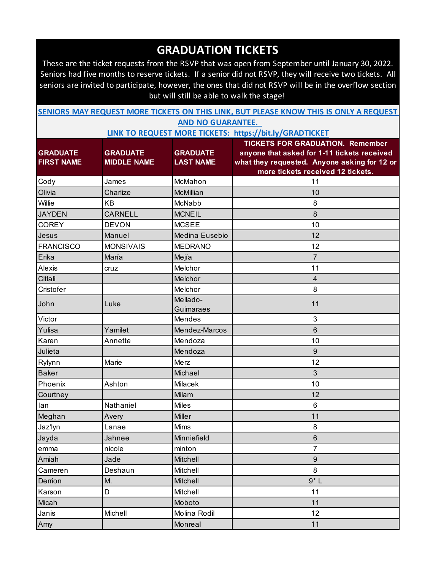These are the ticket requests from the RSVP that was open from September until January 30, 2022. Seniors had five months to reserve tickets. If a senior did not RSVP, they will receive two tickets. All seniors are invited to participate, however, the ones that did not RSVP will be in the overflow section but will still be able to walk the stage!

| SENIORS MAY REQUEST MORE TICKETS ON THIS LINK, BUT PLEASE KNOW THIS IS ONLY A REQUEST |  |                          |  |  |  |
|---------------------------------------------------------------------------------------|--|--------------------------|--|--|--|
|                                                                                       |  | <b>AND NO GUARANTEE.</b> |  |  |  |

|                   |                    |                  | <b>TICKETS FOR GRADUATION. Remember</b>      |
|-------------------|--------------------|------------------|----------------------------------------------|
| <b>GRADUATE</b>   | <b>GRADUATE</b>    | <b>GRADUATE</b>  | anyone that asked for 1-11 tickets received  |
| <b>FIRST NAME</b> | <b>MIDDLE NAME</b> | <b>LAST NAME</b> | what they requested. Anyone asking for 12 or |
|                   |                    |                  | more tickets received 12 tickets.            |
| Cody              | James              | McMahon          | 11                                           |
| Olivia            | Charlize           | McMillian        | 10                                           |
| Willie            | <b>KB</b>          | McNabb           | 8                                            |
| <b>JAYDEN</b>     | <b>CARNELL</b>     | <b>MCNEIL</b>    | 8                                            |
| <b>COREY</b>      | <b>DEVON</b>       | <b>MCSEE</b>     | 10                                           |
| Jesus             | Manuel             | Medina Eusebio   | 12                                           |
| <b>FRANCISCO</b>  | <b>MONSIVAIS</b>   | <b>MEDRANO</b>   | 12                                           |
| Erika             | María              | Mejía            | $\overline{7}$                               |
| Alexis            | cruz               | Melchor          | 11                                           |
| Citlali           |                    | Melchor          | $\overline{4}$                               |
| Cristofer         |                    | Melchor          | 8                                            |
| John              | Luke               | Mellado-         | 11                                           |
|                   |                    | Guimaraes        |                                              |
| Victor            |                    | Mendes           | 3                                            |
| Yulisa            | Yamilet            | Mendez-Marcos    | $6\phantom{1}$                               |
| Karen             | Annette            | Mendoza          | 10                                           |
| Julieta           |                    | Mendoza          | 9                                            |
| Rylynn            | Marie              | Merz             | 12                                           |
| <b>Baker</b>      |                    | Michael          | 3                                            |
| Phoenix           | Ashton             | Milacek          | 10                                           |
| Courtney          |                    | Milam            | 12                                           |
| lan               | Nathaniel          | <b>Miles</b>     | $6\phantom{1}$                               |
| Meghan            | Avery              | <b>Miller</b>    | 11                                           |
| Jaz'lyn           | Lanae              | <b>Mims</b>      | 8                                            |
| Jayda             | Jahnee             | Minniefield      | 6                                            |
| emma              | nicole             | minton           | 7                                            |
| Amiah             | Jade               | Mitchell         | 9                                            |
| Cameren           | Deshaun            | Mitchell         | 8                                            |
| Derrion           | M.                 | Mitchell         | $9*L$                                        |
| Karson            | D                  | Mitchell         | 11                                           |
| Micah             |                    | Moboto           | 11                                           |
| Janis             | Michell            | Molina Rodil     | 12                                           |
| Amy               |                    | Monreal          | 11                                           |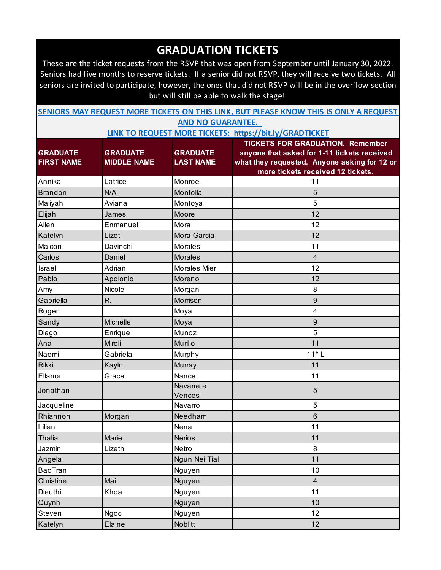These are the ticket requests from the RSVP that was open from September until January 30, 2022. Seniors had five months to reserve tickets. If a senior did not RSVP, they will receive two tickets. All seniors are invited to participate, however, the ones that did not RSVP will be in the overflow section but will still be able to walk the stage!

| SENIORS MAY REQUEST MORE TICKETS ON THIS LINK, BUT PLEASE KNOW THIS IS ONLY A REQUEST |  |  |  |  |  |  |  |  |  |
|---------------------------------------------------------------------------------------|--|--|--|--|--|--|--|--|--|
| <b>AND NO GUARANTEE.</b>                                                              |  |  |  |  |  |  |  |  |  |

|                   |                    |                     | <b>TICKETS FOR GRADUATION. Remember</b>      |
|-------------------|--------------------|---------------------|----------------------------------------------|
| <b>GRADUATE</b>   | <b>GRADUATE</b>    | <b>GRADUATE</b>     | anyone that asked for 1-11 tickets received  |
| <b>FIRST NAME</b> | <b>MIDDLE NAME</b> | <b>LAST NAME</b>    | what they requested. Anyone asking for 12 or |
|                   |                    |                     | more tickets received 12 tickets.            |
| Annika            | Latrice            | Monroe              | 11                                           |
| <b>Brandon</b>    | N/A                | Montolla            | 5                                            |
| Maliyah           | Aviana             | Montoya             | 5                                            |
| Elijah            | James              | Moore               | 12                                           |
| Allen             | Enmanuel           | Mora                | 12                                           |
| Katelyn           | Lizet              | Mora-Garcia         | 12                                           |
| Maicon            | Davinchi           | Morales             | 11                                           |
| Carlos            | Daniel             | <b>Morales</b>      | $\overline{\mathbf{4}}$                      |
| Israel            | Adrian             | Morales Mier        | 12                                           |
| Pablo             | Apolonio           | Moreno              | 12                                           |
| Amy               | Nicole             | Morgan              | 8                                            |
| Gabriella         | R.                 | Morrison            | 9                                            |
| Roger             |                    | Moya                | 4                                            |
| Sandy             | Michelle           | Moya                | 9                                            |
| Diego             | Enrique            | Munoz               | 5                                            |
| Ana               | Mireli             | Murillo             | 11                                           |
| Naomi             | Gabriela           | Murphy              | $11*L$                                       |
| <b>Rikki</b>      | Kayln              | Murray              | 11                                           |
| Ellanor           | Grace              | Nance               | 11                                           |
| Jonathan          |                    | Navarrete<br>Vences | 5                                            |
| Jacqueline        |                    | Navarro             | 5                                            |
| Rhiannon          | Morgan             | Needham             | 6                                            |
| Lilian            |                    | Nena                | 11                                           |
| Thalia            | Marie              | <b>Nerios</b>       | 11                                           |
| Jazmin            | Lizeth             | Netro               | 8                                            |
| Angela            |                    | Ngun Nei Tial       | 11                                           |
| <b>BaoTran</b>    |                    | Nguyen              | 10                                           |
| Christine         | Mai                | Nguyen              | $\overline{4}$                               |
| Dieuthi           | Khoa               | Nguyen              | 11                                           |
| Quynh             |                    | Nguyen              | 10                                           |
| Steven            | Ngoc               | Nguyen              | 12                                           |
| Katelyn           | Elaine             | Noblitt             | 12                                           |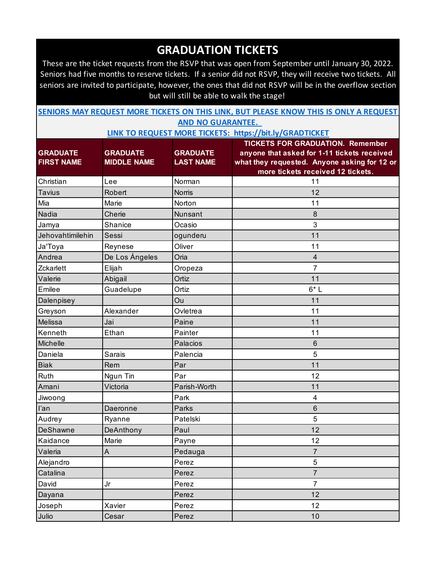These are the ticket requests from the RSVP that was open from September until January 30, 2022. Seniors had five months to reserve tickets. If a senior did not RSVP, they will receive two tickets. All seniors are invited to participate, however, the ones that did not RSVP will be in the overflow section but will still be able to walk the stage!

| SENIORS MAY REQUEST MORE TICKETS ON THIS LINK, BUT PLEASE KNOW THIS IS ONLY A REQUEST |  |  |  |  |  |  |  |  |  |
|---------------------------------------------------------------------------------------|--|--|--|--|--|--|--|--|--|
| ---- --- ----------                                                                   |  |  |  |  |  |  |  |  |  |

**AND NO GUARANTEE. LINK TO REQUEST MORE TICKETS: https://bit.ly/GRADTICKET**

|                   |                    |                  | <b>TICKETS FOR GRADUATION. Remember</b>      |
|-------------------|--------------------|------------------|----------------------------------------------|
| <b>GRADUATE</b>   | <b>GRADUATE</b>    | <b>GRADUATE</b>  | anyone that asked for 1-11 tickets received  |
| <b>FIRST NAME</b> | <b>MIDDLE NAME</b> | <b>LAST NAME</b> | what they requested. Anyone asking for 12 or |
|                   |                    |                  | more tickets received 12 tickets.            |
| Christian         | Lee                | Norman           | 11                                           |
| <b>Tavius</b>     | Robert             | <b>Norris</b>    | 12                                           |
| Mia               | Marie              | Norton           | 11                                           |
| Nadia             | Cherie             | Nunsant          | 8                                            |
| Jamya             | Shanice            | Ocasio           | 3                                            |
| Jehovahtimilehin  | Sessi              | ogunderu         | 11                                           |
| Ja'Toya           | Reynese            | Oliver           | 11                                           |
| Andrea            | De Los Ángeles     | Oria             | $\overline{4}$                               |
| Zckarlett         | Elijah             | Oropeza          | $\overline{7}$                               |
| Valerie           | Abigail            | Ortiz            | 11                                           |
| Emilee            | Guadelupe          | Ortiz            | $6*L$                                        |
| Dalenpisey        |                    | Ou               | 11                                           |
| Greyson           | Alexander          | Ovletrea         | 11                                           |
| Melissa           | Jai                | Paine            | 11                                           |
| Kenneth           | Ethan              | Painter          | 11                                           |
| Michelle          |                    | Palacios         | 6                                            |
| Daniela           | Sarais             | Palencia         | 5                                            |
| <b>Biak</b>       | Rem                | Par              | 11                                           |
| Ruth              | Ngun Tin           | Par              | 12                                           |
| Amani             | Victoria           | Parish-Worth     | 11                                           |
| Jiwoong           |                    | Park             | 4                                            |
| l'an              | Daeronne           | Parks            | 6                                            |
| Audrey            | Ryanne             | Patelski         | 5                                            |
| <b>DeShawne</b>   | DeAnthony          | Paul             | 12                                           |
| Kaidance          | Marie              | Payne            | 12                                           |
| Valeria           | A                  | Pedauga          | 7                                            |
| Alejandro         |                    | Perez            | 5                                            |
| Catalina          |                    | Perez            | $\overline{7}$                               |
| David             | Jr                 | Perez            | $\overline{7}$                               |
| Dayana            |                    | Perez            | 12                                           |
| Joseph            | Xavier             | Perez            | 12                                           |
| Julio             | Cesar              | Perez            | 10                                           |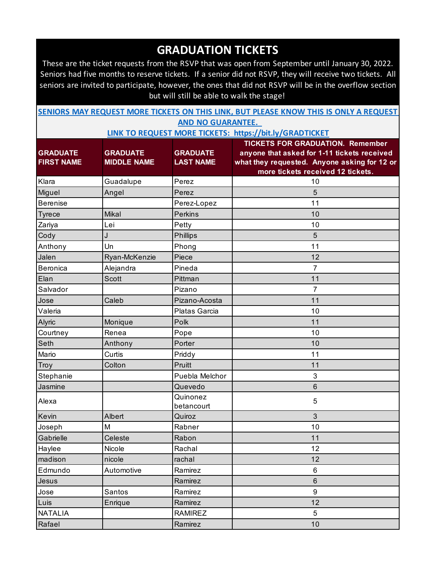These are the ticket requests from the RSVP that was open from September until January 30, 2022. Seniors had five months to reserve tickets. If a senior did not RSVP, they will receive two tickets. All seniors are invited to participate, however, the ones that did not RSVP will be in the overflow section but will still be able to walk the stage!

| SENIORS MAY REQUEST MORE TICKETS ON THIS LINK, BUT PLEASE KNOW THIS IS ONLY A REQUEST |  |  |  |  |  |  |  |  |  |
|---------------------------------------------------------------------------------------|--|--|--|--|--|--|--|--|--|
| <b>AND NO GUARANTEE.</b>                                                              |  |  |  |  |  |  |  |  |  |

|                   |                    |                        | <b>TICKETS FOR GRADUATION. Remember</b>      |
|-------------------|--------------------|------------------------|----------------------------------------------|
| <b>GRADUATE</b>   | <b>GRADUATE</b>    | <b>GRADUATE</b>        | anyone that asked for 1-11 tickets received  |
| <b>FIRST NAME</b> | <b>MIDDLE NAME</b> | <b>LAST NAME</b>       | what they requested. Anyone asking for 12 or |
|                   |                    |                        | more tickets received 12 tickets.            |
| Klara             | Guadalupe          | Perez                  | 10                                           |
| Miguel            | Angel              | Perez                  | 5                                            |
| <b>Berenise</b>   |                    | Perez-Lopez            | 11                                           |
| <b>Tyrece</b>     | Mikal              | <b>Perkins</b>         | 10                                           |
| Zariya            | Lei                | Petty                  | 10                                           |
| Cody              | J                  | <b>Phillips</b>        | 5                                            |
| Anthony           | Un                 | Phong                  | 11                                           |
| Jalen             | Ryan-McKenzie      | Piece                  | 12                                           |
| Beronica          | Alejandra          | Pineda                 | $\overline{7}$                               |
| Elan              | Scott              | Pittman                | 11                                           |
| Salvador          |                    | Pizano                 | 7                                            |
| Jose              | Caleb              | Pizano-Acosta          | 11                                           |
| Valeria           |                    | Platas Garcia          | 10                                           |
| Alyric            | Monique            | Polk                   | 11                                           |
| Courtney          | Renea              | Pope                   | 10                                           |
| Seth              | Anthony            | Porter                 | 10                                           |
| Mario             | Curtis             | Priddy                 | 11                                           |
| Troy              | Colton             | Pruitt                 | 11                                           |
| Stephanie         |                    | Puebla Melchor         | 3                                            |
| Jasmine           |                    | Quevedo                | $6\phantom{1}$                               |
| Alexa             |                    | Quinonez<br>betancourt | 5                                            |
| Kevin             | Albert             | Quiroz                 | 3                                            |
| Joseph            | M                  | Rabner                 | 10                                           |
| Gabrielle         | Celeste            | Rabon                  | 11                                           |
| Haylee            | Nicole             | Rachal                 | 12                                           |
| madison           | nicole             | rachal                 | 12                                           |
| Edmundo           | Automotive         | Ramirez                | 6                                            |
| Jesus             |                    | Ramirez                | $\,6\,$                                      |
| Jose              | Santos             | Ramirez                | 9                                            |
| Luis              | Enrique            | Ramirez                | 12                                           |
| <b>NATALIA</b>    |                    | <b>RAMIREZ</b>         | 5                                            |
| Rafael            |                    | Ramirez                | 10                                           |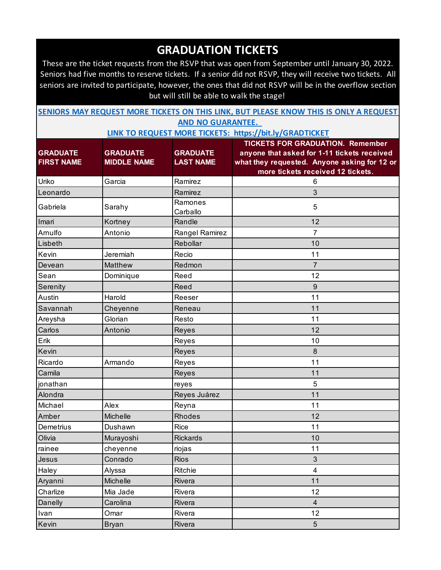These are the ticket requests from the RSVP that was open from September until January 30, 2022. Seniors had five months to reserve tickets. If a senior did not RSVP, they will receive two tickets. All seniors are invited to participate, however, the ones that did not RSVP will be in the overflow section but will still be able to walk the stage!

| SENIORS MAY REQUEST MORE TICKETS ON THIS LINK, BUT PLEASE KNOW THIS IS ONLY A REQUEST |  |  |  |  |  |  |  |  |  |
|---------------------------------------------------------------------------------------|--|--|--|--|--|--|--|--|--|
| ---- --- ----------                                                                   |  |  |  |  |  |  |  |  |  |

**AND NO GUARANTEE. LINK TO REQUEST MORE TICKETS: https://bit.ly/GRADTICKET**

|                   |                    |                     | <b>TICKETS FOR GRADUATION. Remember</b>      |
|-------------------|--------------------|---------------------|----------------------------------------------|
| <b>GRADUATE</b>   | <b>GRADUATE</b>    | <b>GRADUATE</b>     | anyone that asked for 1-11 tickets received  |
| <b>FIRST NAME</b> | <b>MIDDLE NAME</b> | <b>LAST NAME</b>    | what they requested. Anyone asking for 12 or |
|                   |                    |                     | more tickets received 12 tickets.            |
| Uriko             | Garcia             | Ramirez             | 6                                            |
| Leonardo          |                    | Ramirez             | 3                                            |
| Gabriela          | Sarahy             | Ramones<br>Carballo | 5                                            |
| Imari             | Kortney            | Randle              | 12                                           |
| Arnulfo           | Antonio            | Rangel Ramirez      | $\overline{7}$                               |
| Lisbeth           |                    | Rebollar            | 10                                           |
| Kevin             | Jeremiah           | Recio               | 11                                           |
| Devean            | Matthew            | Redmon              | $\overline{7}$                               |
| Sean              | Dominique          | Reed                | 12                                           |
| Serenity          |                    | Reed                | 9                                            |
| <b>Austin</b>     | Harold             | Reeser              | 11                                           |
| Savannah          | Cheyenne           | Reneau              | 11                                           |
| Areysha           | Glorian            | Resto               | 11                                           |
| Carlos            | Antonio            | Reyes               | 12                                           |
| Erik              |                    | Reyes               | 10                                           |
| Kevin             |                    | Reyes               | 8                                            |
| Ricardo           | Armando            | Reyes               | 11                                           |
| Camila            |                    | Reyes               | 11                                           |
| jonathan          |                    | reyes               | 5                                            |
| Alondra           |                    | Reyes Juárez        | 11                                           |
| Michael           | Alex               | Reyna               | 11                                           |
| Amber             | <b>Michelle</b>    | <b>Rhodes</b>       | 12                                           |
| <b>Demetrius</b>  | Dushawn            | <b>Rice</b>         | 11                                           |
| Olivia            | Murayoshi          | <b>Rickards</b>     | 10                                           |
| rainee            | cheyenne           | riojas              | 11                                           |
| Jesus             | Conrado            | Rios                | 3                                            |
| Haley             | Alyssa             | Ritchie             | 4                                            |
| Aryanni           | Michelle           | Rivera              | 11                                           |
| Charlize          | Mia Jade           | Rivera              | 12                                           |
| Danelly           | Carolina           | Rivera              | $\overline{4}$                               |
| Ivan              | Omar               | Rivera              | 12                                           |
| Kevin             | <b>Bryan</b>       | Rivera              | 5                                            |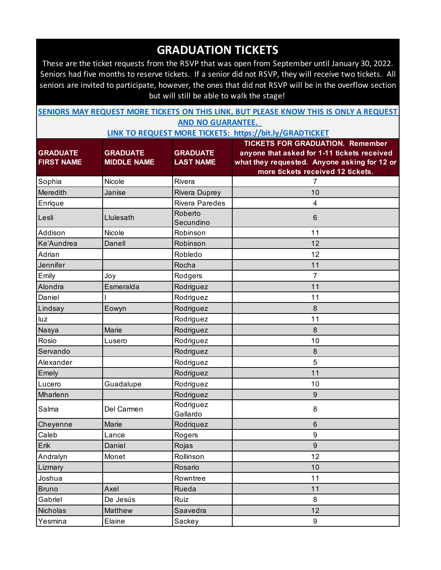These are the ticket requests from the RSVP that was open from September until January 30, 2022. Seniors had five months to reserve tickets. If a senior did not RSVP, they will receive two tickets. All seniors are invited to participate, however, the ones that did not RSVP will be in the overflow section but will still be able to walk the stage!

| SENIORS MAY REQUEST MORE TICKETS ON THIS LINK, BUT PLEASE KNOW THIS IS ONLY A REQUEST |  |  |  |  |  |  |  |  |  |
|---------------------------------------------------------------------------------------|--|--|--|--|--|--|--|--|--|
| <b>AND NO GUARANTEE.</b>                                                              |  |  |  |  |  |  |  |  |  |

| <b>GRADUATE</b>   | <b>GRADUATE</b>    | <b>GRADUATE</b>       | <b>TICKETS FOR GRADUATION. Remember</b><br>anyone that asked for 1-11 tickets received |
|-------------------|--------------------|-----------------------|----------------------------------------------------------------------------------------|
| <b>FIRST NAME</b> | <b>MIDDLE NAME</b> | <b>LAST NAME</b>      | what they requested. Anyone asking for 12 or                                           |
|                   |                    |                       | more tickets received 12 tickets.                                                      |
| Sophia            | Nicole             | Rivera                | 7                                                                                      |
| Meredith          | Janise             | Rivera Duprey         | 10                                                                                     |
| Enrique           |                    | <b>Rivera Paredes</b> | 4                                                                                      |
| Lesli             | Llulesath          | Roberto<br>Secundino  | $6\phantom{1}$                                                                         |
| Addison           | Nicole             | Robinson              | 11                                                                                     |
| Ke'Aundrea        | Danell             | Robinson              | 12                                                                                     |
| Adrian            |                    | Robledo               | 12                                                                                     |
| Jennifer          |                    | Rocha                 | 11                                                                                     |
| Emily             | Joy                | Rodgers               | 7                                                                                      |
| Alondra           | Esmeralda          | Rodriguez             | 11                                                                                     |
| Daniel            |                    | Rodriguez             | 11                                                                                     |
| Lindsay           | Eowyn              | Rodriguez             | 8                                                                                      |
| luz               |                    | Rodriguez             | 11                                                                                     |
| Nasya             | Marie              | Rodriguez             | 8                                                                                      |
| Rosio             | Lusero             | Rodriguez             | 10                                                                                     |
| Servando          |                    | Rodriguez             | $\bf 8$                                                                                |
| Alexander         |                    | Rodriguez             | 5                                                                                      |
| Emely             |                    | Rodriguez             | 11                                                                                     |
| Lucero            | Guadalupe          | Rodriguez             | 10                                                                                     |
| Mharlenn          |                    | Rodriguez             | 9                                                                                      |
| Salma             | Del Carmen         | Rodriguez<br>Gallardo | 8                                                                                      |
| Cheyenne          | Marie              | Rodriquez             | $\,6$                                                                                  |
| Caleb             | Lance              | Rogers                | 9                                                                                      |
| Erik              | Daniel             | Rojas                 | $\boldsymbol{9}$                                                                       |
| Andralyn          | Monet              | Rollinson             | 12                                                                                     |
| Lizmary           |                    | Rosario               | 10                                                                                     |
| Joshua            |                    | Rowntree              | 11                                                                                     |
| <b>Bruno</b>      | Axel               | Rueda                 | 11                                                                                     |
| Gabriel           | De Jesús           | Ruiz                  | 8                                                                                      |
| Nicholas          | Matthew            | Saavedra              | 12                                                                                     |
| Yesmina           | Elaine             | Sackey                | $9\,$                                                                                  |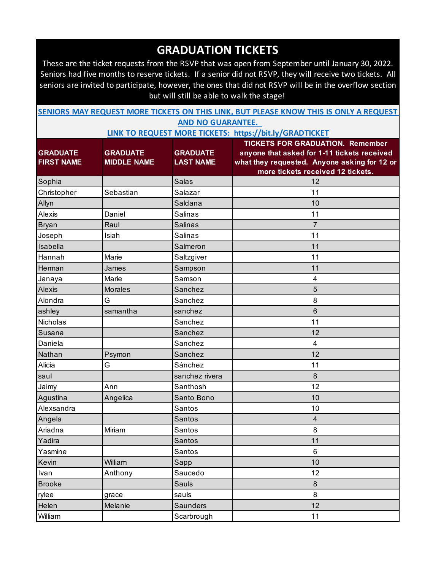These are the ticket requests from the RSVP that was open from September until January 30, 2022. Seniors had five months to reserve tickets. If a senior did not RSVP, they will receive two tickets. All seniors are invited to participate, however, the ones that did not RSVP will be in the overflow section but will still be able to walk the stage!

| SENIORS MAY REQUEST MORE TICKETS ON THIS LINK, BUT PLEASE KNOW THIS IS ONLY A REQUEST |  |  |  |  |  |  |  |  |  |
|---------------------------------------------------------------------------------------|--|--|--|--|--|--|--|--|--|
| <b>AND NO GUARANTEE.</b>                                                              |  |  |  |  |  |  |  |  |  |

|                   |                    |                  | <b>TICKETS FOR GRADUATION. Remember</b>      |
|-------------------|--------------------|------------------|----------------------------------------------|
| <b>GRADUATE</b>   | <b>GRADUATE</b>    | <b>GRADUATE</b>  | anyone that asked for 1-11 tickets received  |
| <b>FIRST NAME</b> | <b>MIDDLE NAME</b> | <b>LAST NAME</b> | what they requested. Anyone asking for 12 or |
|                   |                    |                  | more tickets received 12 tickets.            |
| Sophia            |                    | <b>Salas</b>     | 12                                           |
| Christopher       | Sebastian          | Salazar          | 11                                           |
| Allyn             |                    | Saldana          | 10                                           |
| Alexis            | Daniel             | <b>Salinas</b>   | 11                                           |
| Bryan             | Raul               | <b>Salinas</b>   | $\overline{7}$                               |
| Joseph            | Isiah              | <b>Salinas</b>   | 11                                           |
| Isabella          |                    | Salmeron         | 11                                           |
| Hannah            | Marie              | Saltzgiver       | 11                                           |
| Herman            | James              | Sampson          | 11                                           |
| Janaya            | Marie              | Samson           | 4                                            |
| <b>Alexis</b>     | <b>Morales</b>     | Sanchez          | 5                                            |
| Alondra           | G                  | Sanchez          | 8                                            |
| ashley            | samantha           | sanchez          | $6\phantom{1}$                               |
| Nicholas          |                    | Sanchez          | 11                                           |
| Susana            |                    | Sanchez          | 12                                           |
| Daniela           |                    | Sanchez          | $\overline{\mathbf{4}}$                      |
| Nathan            | Psymon             | Sanchez          | 12                                           |
| Alicia            | G                  | Sánchez          | 11                                           |
| saul              |                    | sanchez rivera   | 8                                            |
| Jaimy             | Ann                | Santhosh         | 12                                           |
| Agustina          | Angelica           | Santo Bono       | 10                                           |
| Alexsandra        |                    | Santos           | 10                                           |
| Angela            |                    | <b>Santos</b>    | $\overline{4}$                               |
| Ariadna           | Miriam             | Santos           | 8                                            |
| Yadira            |                    | <b>Santos</b>    | 11                                           |
| Yasmine           |                    | Santos           | 6                                            |
| Kevin             | William            | Sapp             | 10                                           |
| Ivan              | Anthony            | Saucedo          | 12                                           |
| <b>Brooke</b>     |                    | Sauls            | $\bf 8$                                      |
| rylee             | grace              | sauls            | 8                                            |
| Helen             | Melanie            | Saunders         | 12                                           |
| William           |                    | Scarbrough       | 11                                           |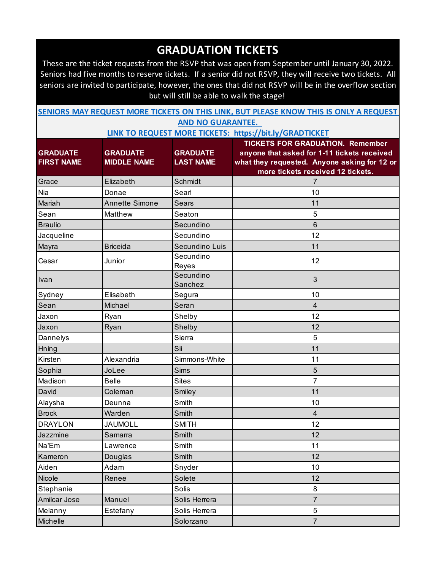These are the ticket requests from the RSVP that was open from September until January 30, 2022. Seniors had five months to reserve tickets. If a senior did not RSVP, they will receive two tickets. All seniors are invited to participate, however, the ones that did not RSVP will be in the overflow section but will still be able to walk the stage!

| SENIORS MAY REQUEST MORE TICKETS ON THIS LINK, BUT PLEASE KNOW THIS IS ONLY A REQUEST |                          |  |  |  |
|---------------------------------------------------------------------------------------|--------------------------|--|--|--|
|                                                                                       | <b>AND NO GUARANTEE.</b> |  |  |  |

|                   |                       |                      | <b>TICKETS FOR GRADUATION. Remember</b>      |
|-------------------|-----------------------|----------------------|----------------------------------------------|
| <b>GRADUATE</b>   | <b>GRADUATE</b>       | <b>GRADUATE</b>      | anyone that asked for 1-11 tickets received  |
| <b>FIRST NAME</b> | <b>MIDDLE NAME</b>    | <b>LAST NAME</b>     | what they requested. Anyone asking for 12 or |
|                   |                       |                      | more tickets received 12 tickets.            |
| Grace             | Elizabeth             | Schmidt              | 7                                            |
| Nia               | Donae                 | Searl                | 10                                           |
| Mariah            | <b>Annette Simone</b> | Sears                | 11                                           |
| Sean              | Matthew               | Seaton               | 5                                            |
| <b>Braulio</b>    |                       | Secundino            | 6                                            |
| Jacqueline        |                       | Secundino            | 12                                           |
| Mayra             | <b>Briceida</b>       | Secundino Luis       | 11                                           |
| Cesar             | Junior                | Secundino<br>Reyes   | 12                                           |
| Ivan              |                       | Secundino<br>Sanchez | 3                                            |
| Sydney            | Elisabeth             | Segura               | 10                                           |
| Sean              | Michael               | Seran                | $\overline{4}$                               |
| Jaxon             | Ryan                  | Shelby               | 12                                           |
| Jaxon             | Ryan                  | Shelby               | 12                                           |
| Dannelys          |                       | Sierra               | 5                                            |
| Hning             |                       | Sii                  | 11                                           |
| Kirsten           | Alexandria            | Simmons-White        | 11                                           |
| Sophia            | JoLee                 | Sims                 | 5                                            |
| Madison           | <b>Belle</b>          | <b>Sites</b>         | $\overline{7}$                               |
| David             | Coleman               | Smiley               | 11                                           |
| Alaysha           | Deunna                | Smith                | 10                                           |
| <b>Brock</b>      | Warden                | Smith                | $\overline{4}$                               |
| <b>DRAYLON</b>    | <b>JAUMOLL</b>        | <b>SMITH</b>         | 12                                           |
| Jazzmine          | Samarra               | Smith                | 12                                           |
| Na'Em             | Lawrence              | Smith                | 11                                           |
| Kameron           | Douglas               | Smith                | 12                                           |
| Aiden             | Adam                  | Snyder               | 10                                           |
| Nicole            | Renee                 | Solete               | 12                                           |
| Stephanie         |                       | Solis                | 8                                            |
| Amilcar Jose      | Manuel                | Solis Herrera        | $\overline{7}$                               |
| Melanny           | Estefany              | Solis Herrera        | 5                                            |
| Michelle          |                       | Solorzano            | $\overline{7}$                               |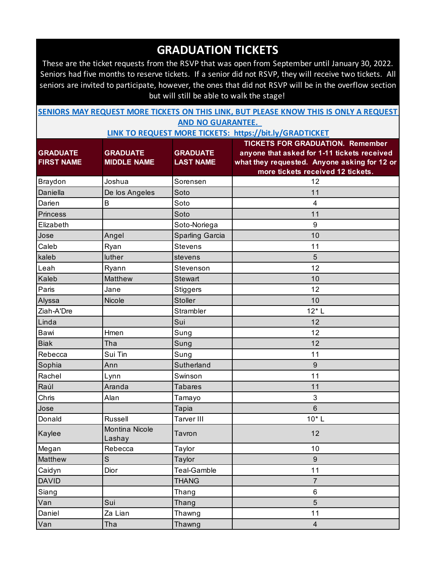These are the ticket requests from the RSVP that was open from September until January 30, 2022. Seniors had five months to reserve tickets. If a senior did not RSVP, they will receive two tickets. All seniors are invited to participate, however, the ones that did not RSVP will be in the overflow section but will still be able to walk the stage!

| SENIORS MAY REQUEST MORE TICKETS ON THIS LINK, BUT PLEASE KNOW THIS IS ONLY A REQUEST |  |  |  |  |  |  |  |  |  |  |
|---------------------------------------------------------------------------------------|--|--|--|--|--|--|--|--|--|--|
| <b>AND NO GUARANTEE.</b>                                                              |  |  |  |  |  |  |  |  |  |  |

|                   |                                 |                   | <b>TICKETS FOR GRADUATION. Remember</b>      |
|-------------------|---------------------------------|-------------------|----------------------------------------------|
| <b>GRADUATE</b>   | <b>GRADUATE</b>                 | <b>GRADUATE</b>   | anyone that asked for 1-11 tickets received  |
| <b>FIRST NAME</b> | <b>MIDDLE NAME</b>              | <b>LAST NAME</b>  | what they requested. Anyone asking for 12 or |
|                   |                                 |                   | more tickets received 12 tickets.            |
| Braydon           | Joshua                          | Sorensen          | 12                                           |
| Daniella          | De los Angeles                  | Soto              | 11                                           |
| Darien            | $\mathsf B$                     | Soto              | 4                                            |
| <b>Princess</b>   |                                 | Soto              | 11                                           |
| Elizabeth         |                                 | Soto-Noriega      | 9                                            |
| Jose              | Angel                           | Sparling Garcia   | 10                                           |
| Caleb             | Ryan                            | <b>Stevens</b>    | 11                                           |
| kaleb             | luther                          | stevens           | 5                                            |
| Leah              | Ryann                           | Stevenson         | 12                                           |
| Kaleb             | Matthew                         | <b>Stewart</b>    | 10                                           |
| Paris             | Jane                            | <b>Stiggers</b>   | 12                                           |
| Alyssa            | Nicole                          | <b>Stoller</b>    | 10                                           |
| Ziah-A'Dre        |                                 | Strambler         | $12*$ L                                      |
| Linda             |                                 | Sui               | 12                                           |
| Bawi              | Hmen                            | Sung              | 12                                           |
| <b>Biak</b>       | Tha                             | Sung              | 12                                           |
| Rebecca           | Sui Tin                         | Sung              | 11                                           |
| Sophia            | Ann                             | Sutherland        | 9                                            |
| Rachel            | Lynn                            | Swinson           | 11                                           |
| Raúl              | Aranda                          | <b>Tabares</b>    | 11                                           |
| Chris             | Alan                            | Tamayo            | 3                                            |
| Jose              |                                 | Tapia             | 6                                            |
| Donald            | Russell                         | <b>Tarver III</b> | $10*$ L                                      |
| Kaylee            | <b>Montina Nicole</b><br>Lashay | Tavron            | 12                                           |
| Megan             | Rebecca                         | Taylor            | 10                                           |
| Matthew           | S                               | Taylor            | 9                                            |
| Caidyn            | Dior                            | Teal-Gamble       | 11                                           |
| <b>DAVID</b>      |                                 | <b>THANG</b>      | $\overline{7}$                               |
| Siang             |                                 | Thang             | 6                                            |
| Van               | Sui                             | Thang             | $5\phantom{.}$                               |
| Daniel            | Za Lian                         | Thawng            | 11                                           |
| Van               | Tha                             | Thawng            | $\overline{4}$                               |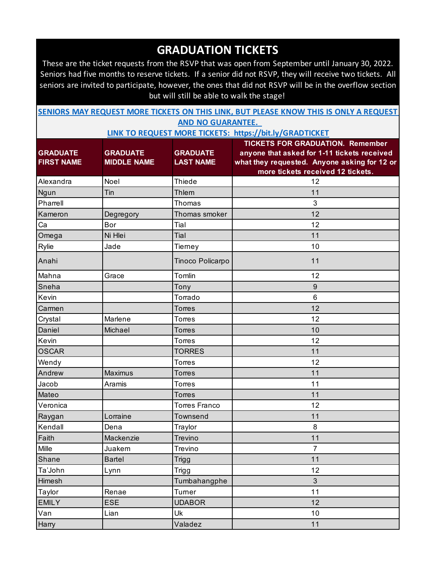These are the ticket requests from the RSVP that was open from September until January 30, 2022. Seniors had five months to reserve tickets. If a senior did not RSVP, they will receive two tickets. All seniors are invited to participate, however, the ones that did not RSVP will be in the overflow section but will still be able to walk the stage!

| SENIORS MAY REQUEST MORE TICKETS ON THIS LINK, BUT PLEASE KNOW THIS IS ONLY A REQUEST |  |  |  |  |  |  |  |  |  |  |
|---------------------------------------------------------------------------------------|--|--|--|--|--|--|--|--|--|--|
| <b>AND NO GUARANTEE.</b>                                                              |  |  |  |  |  |  |  |  |  |  |

|                   |                    |                      | <b>TICKETS FOR GRADUATION. Remember</b>      |
|-------------------|--------------------|----------------------|----------------------------------------------|
| <b>GRADUATE</b>   | <b>GRADUATE</b>    | <b>GRADUATE</b>      | anyone that asked for 1-11 tickets received  |
| <b>FIRST NAME</b> | <b>MIDDLE NAME</b> | <b>LAST NAME</b>     | what they requested. Anyone asking for 12 or |
|                   |                    |                      | more tickets received 12 tickets.            |
| Alexandra         | Noel               | <b>Thiede</b>        | 12                                           |
| Ngun              | Tin                | Thlem                | 11                                           |
| Pharrell          |                    | Thomas               | 3                                            |
| Kameron           | Degregory          | Thomas smoker        | 12                                           |
| Ca                | Bor                | Tial                 | 12                                           |
| Omega             | Ni Hlei            | Tial                 | 11                                           |
| Rylie             | Jade               | Tierney              | 10                                           |
| Anahi             |                    | Tinoco Policarpo     | 11                                           |
| Mahna             | Grace              | Tomlin               | 12                                           |
| Sneha             |                    | Tony                 | $\boldsymbol{9}$                             |
| Kevin             |                    | Torrado              | 6                                            |
| Carmen            |                    | <b>Torres</b>        | 12                                           |
| Crystal           | Marlene            | <b>Torres</b>        | 12                                           |
| Daniel            | Michael            | <b>Torres</b>        | 10                                           |
| Kevin             |                    | <b>Torres</b>        | 12                                           |
| <b>OSCAR</b>      |                    | <b>TORRES</b>        | 11                                           |
| Wendy             |                    | <b>Torres</b>        | 12                                           |
| Andrew            | Maximus            | <b>Torres</b>        | 11                                           |
| Jacob             | Aramis             | <b>Torres</b>        | 11                                           |
| Mateo             |                    | <b>Torres</b>        | 11                                           |
| Veronica          |                    | <b>Torres Franco</b> | 12                                           |
| Raygan            | Lorraine           | Townsend             | 11                                           |
| Kendall           | Dena               | Traylor              | 8                                            |
| Faith             | Mackenzie          | Trevino              | 11                                           |
| Mille             | Juakem             | Trevino              | 7                                            |
| Shane             | <b>Bartel</b>      | <b>Trigg</b>         | 11                                           |
| Ta'John           | Lynn               | <b>Trigg</b>         | 12                                           |
| Himesh            |                    | Tumbahangphe         | $\mathfrak{S}$                               |
| Taylor            | Renae              | Turner               | 11                                           |
| <b>EMILY</b>      | <b>ESE</b>         | <b>UDABOR</b>        | 12                                           |
| Van               | Lian               | Uk                   | 10                                           |
| Harry             |                    | Valadez              | 11                                           |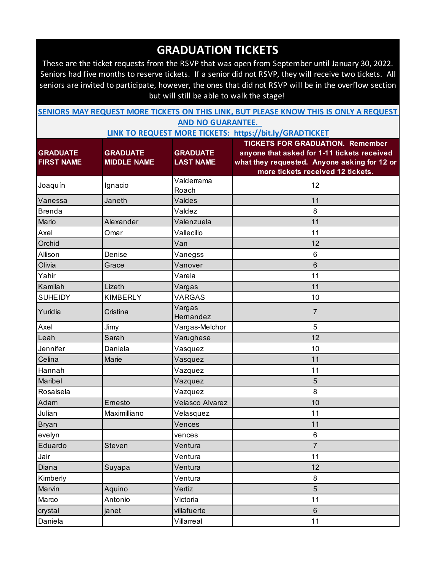These are the ticket requests from the RSVP that was open from September until January 30, 2022. Seniors had five months to reserve tickets. If a senior did not RSVP, they will receive two tickets. All seniors are invited to participate, however, the ones that did not RSVP will be in the overflow section but will still be able to walk the stage!

| SENIORS MAY REQUEST MORE TICKETS ON THIS LINK, BUT PLEASE KNOW THIS IS ONLY A REQUEST |                          |  |  |  |
|---------------------------------------------------------------------------------------|--------------------------|--|--|--|
|                                                                                       | <b>AND NO GUARANTEE.</b> |  |  |  |

|                   |                    |                        | <b>TICKETS FOR GRADUATION. Remember</b>      |
|-------------------|--------------------|------------------------|----------------------------------------------|
| <b>GRADUATE</b>   | <b>GRADUATE</b>    | <b>GRADUATE</b>        | anyone that asked for 1-11 tickets received  |
| <b>FIRST NAME</b> | <b>MIDDLE NAME</b> | <b>LAST NAME</b>       | what they requested. Anyone asking for 12 or |
|                   |                    |                        | more tickets received 12 tickets.            |
| Joaquín           | Ignacio            | Valderrama<br>Roach    | 12                                           |
| Vanessa           | Janeth             | Valdes                 | 11                                           |
| <b>Brenda</b>     |                    | Valdez                 | 8                                            |
| Mario             | Alexander          | Valenzuela             | 11                                           |
| Axel              | Omar               | Vallecillo             | 11                                           |
| Orchid            |                    | Van                    | 12                                           |
| Allison           | Denise             | Vanegss                | 6                                            |
| Olivia            | Grace              | Vanover                | 6                                            |
| Yahir             |                    | Varela                 | 11                                           |
| Kamilah           | Lizeth             | Vargas                 | 11                                           |
| <b>SUHEIDY</b>    | <b>KIMBERLY</b>    | <b>VARGAS</b>          | 10                                           |
| Yuridia           | Cristina           | Vargas<br>Hernandez    | $\overline{7}$                               |
| Axel              | Jimy               | Vargas-Melchor         | 5                                            |
| Leah              | Sarah              | Varughese              | 12                                           |
| Jennifer          | Daniela            | Vasquez                | 10                                           |
| Celina            | Marie              | Vasquez                | 11                                           |
| Hannah            |                    | Vazquez                | 11                                           |
| Maribel           |                    | Vazquez                | $\overline{5}$                               |
| Rosaisela         |                    | Vazquez                | 8                                            |
| Adam              | Ernesto            | <b>Velasco Alvarez</b> | 10                                           |
| Julian            | Maximilliano       | Velasquez              | 11                                           |
| <b>Bryan</b>      |                    | Vences                 | 11                                           |
| evelyn            |                    | vences                 | 6                                            |
| Eduardo           | Steven             | Ventura                | $\overline{7}$                               |
| Jair              |                    | Ventura                | 11                                           |
| Diana             | Suyapa             | Ventura                | 12                                           |
| Kimberly          |                    | Ventura                | 8                                            |
| Marvin            | Aquino             | Vertiz                 | $5\phantom{.}$                               |
| Marco             | Antonio            | Victoria               | 11                                           |
| crystal           | janet              | villafuerte            | $\,6\,$                                      |
| Daniela           |                    | Villarreal             | 11                                           |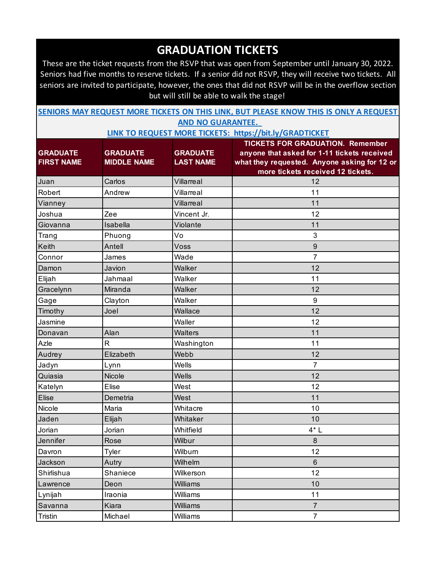These are the ticket requests from the RSVP that was open from September until January 30, 2022. Seniors had five months to reserve tickets. If a senior did not RSVP, they will receive two tickets. All seniors are invited to participate, however, the ones that did not RSVP will be in the overflow section but will still be able to walk the stage!

| SENIORS MAY REQUEST MORE TICKETS ON THIS LINK, BUT PLEASE KNOW THIS IS ONLY A REQUEST |                          |  |  |  |
|---------------------------------------------------------------------------------------|--------------------------|--|--|--|
|                                                                                       | <b>AND NO GUARANTEE.</b> |  |  |  |

|                   |                         |                  | <b>TICKETS FOR GRADUATION. Remember</b>      |
|-------------------|-------------------------|------------------|----------------------------------------------|
| <b>GRADUATE</b>   | <b>GRADUATE</b>         | <b>GRADUATE</b>  | anyone that asked for 1-11 tickets received  |
| <b>FIRST NAME</b> | <b>MIDDLE NAME</b>      | <b>LAST NAME</b> | what they requested. Anyone asking for 12 or |
|                   |                         |                  | more tickets received 12 tickets.            |
| Juan              | Carlos                  | Villarreal       | 12                                           |
| Robert            | Andrew                  | Villarreal       | 11                                           |
| Vianney           |                         | Villarreal       | 11                                           |
| Joshua            | Zee                     | Vincent Jr.      | 12                                           |
| Giovanna          | Isabella                | Violante         | 11                                           |
| Trang             | Phuong                  | Vo               | 3                                            |
| Keith             | Antell                  | Voss             | $\boldsymbol{9}$                             |
| Connor            | James                   | Wade             | 7                                            |
| Damon             | Javion                  | Walker           | 12                                           |
| Elijah            | Jahmaal                 | Walker           | 11                                           |
| Gracelynn         | Miranda                 | Walker           | 12                                           |
| Gage              | Clayton                 | Walker           | $\boldsymbol{9}$                             |
| Timothy           | Joel                    | Wallace          | 12                                           |
| Jasmine           |                         | Waller           | 12                                           |
| Donavan           | Alan                    | <b>Walters</b>   | 11                                           |
| Azle              | $\overline{\mathsf{R}}$ | Washington       | 11                                           |
| Audrey            | Elizabeth               | Webb             | 12                                           |
| Jadyn             | Lynn                    | Wells            | $\overline{7}$                               |
| Quiasia           | <b>Nicole</b>           | <b>Wells</b>     | 12                                           |
| Katelyn           | Elise                   | West             | 12                                           |
| <b>Elise</b>      | Demetria                | West             | 11                                           |
| Nicole            | Maria                   | Whitacre         | 10                                           |
| Jaden             | Elijah                  | Whitaker         | 10                                           |
| Jorian            | Jorian                  | Whitfield        | $4^*$ L                                      |
| Jennifer          | Rose                    | Wilbur           | 8                                            |
| Davron            | <b>Tyler</b>            | Wilburn          | 12                                           |
| Jackson           | Autry                   | Wilhelm          | 6                                            |
| Shirlishua        | Shaniece                | Wilkerson        | 12                                           |
| Lawrence          | Deon                    | Williams         | 10                                           |
| Lynijah           | Iraonia                 | Williams         | 11                                           |
| Savanna           | Kiara                   | Williams         | $\overline{7}$                               |
| Tristin           | Michael                 | Williams         | $\overline{7}$                               |